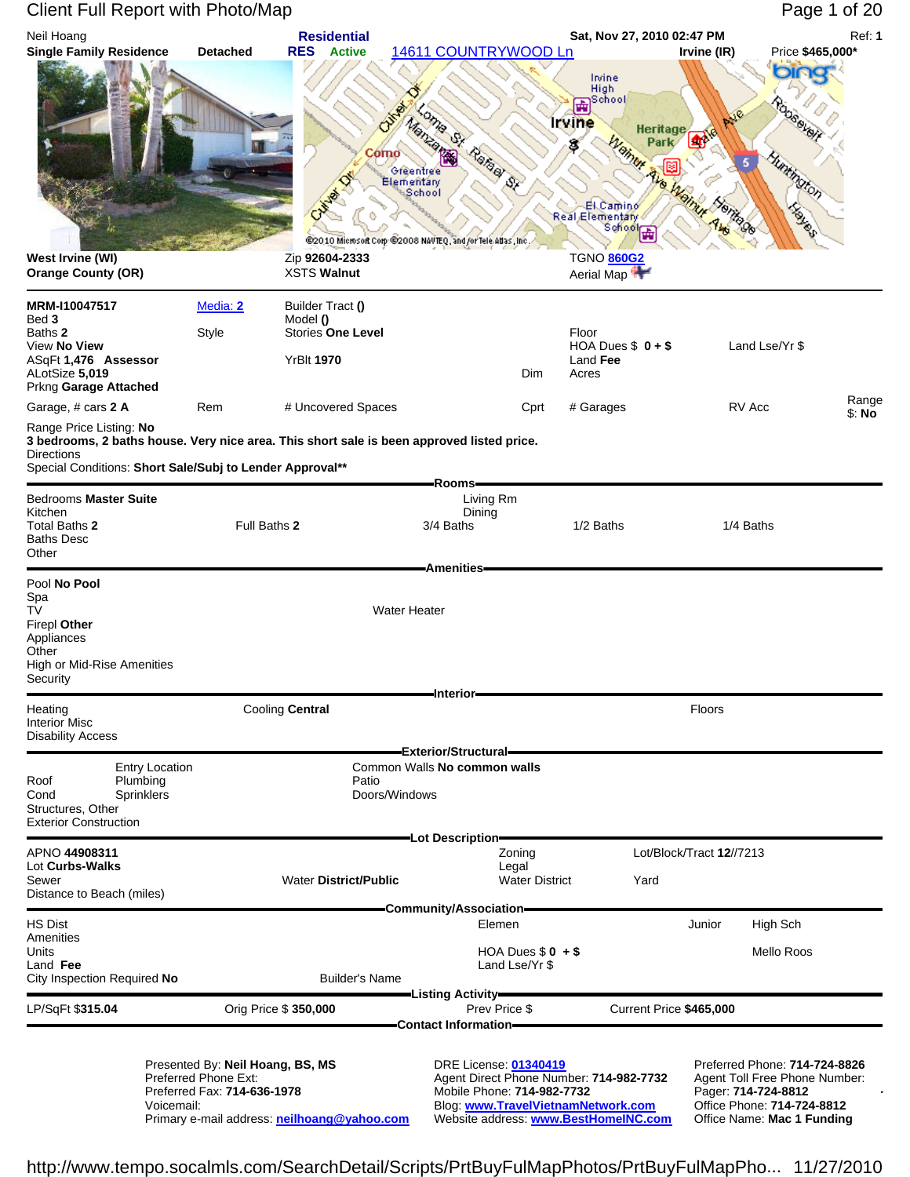#### Client Full Report with Photo/Map Page 1 of 20 Neil Hoang **Residential Sat, Nov 27, 2010 02:47 PM** Ref: **1 Single Family Residence Detached RES Active** 14611 COUNTRYWOOD Ln **Irvine (IR)** Price **\$465,000\*** Irvine High<br>School ∢ **Commander Commander Strategy Strategy** Chance 촕 **Britaine**<br>Montagne Irvine **Heritage** Heritag<br>Park<br>Park<br>Park **41** Park S Como Greentree Elementary<br>School Hemite de El Camino Haren Real Elementary nentafy<br>Sohool  $\frac{1}{\sqrt{2}}$ @2010 Microsoft Corp.@2008 NAVTEQ, and for Tele Adas, Inc. **West Irvine (WI)** Zip **92604-2333** TGNO **860G2 Orange County (OR) XSTS Walnut** Aerial Map <sup>4</sup> **MRM-I10047517** Media: 2 Builder Tract **()**<br>Red 3 Model 0 **Bed 3** Model () **Baths 2** Model () **Baths 2** Style Stories **C** Baths **2** Style Stories **One Level** Floor View **No View** HOA Dues \$ **0 + \$** Land Lse/Yr \$ ASqFt **1,476 Assessor** YrBlt **1970** Land **Fee** ALotSize **5,019** Dim Acres Prkng **Garage Attached** Garage, # cars **2 A** Rem The Uncovered Spaces **C**prt # Garages RV Acc Range RV Acc Ranges \$: **No** Range Price Listing: **No 3 bedrooms, 2 baths house. Very nice area. This short sale is been approved listed price. Directions** Special Conditions: **Short Sale/Subj to Lender Approval\*\* Rooms Bedrooms Master Suite** Living Rm **Living Rm** Living Rm Kitchen Dining Total Baths **2** Full Baths **2** 3/4 Baths 1/2 Baths 1/4 Baths Baths Desc **Other Amenities** Pool **No Pool** Spa TV Water Heater Firepl **Other**  Appliances **Other** High or Mid-Rise Amenities **Security Interior** Heating **Cooling Central Cooling Central Cooling Central Floors** Interior Misc Disability Access **Exterior/Structural** Entry Location Common Walls **No common walls** Plumbing Cond Sprinklers Sprinklers Cond Doors/Windows Structures, Other Exterior Construction **Lot Description** APNO **44908311** Zoning Lot/Block/Tract **12**//7213 Lot **Curbs-Walks** Legal Sewer Water **District/Public** Water District Yard Distance to Beach (miles) **Community/Association** HS Dist Elemen Junior High Sch Amenities Units HOA Dues \$ **0 + \$** Mello Roos Land **Fee** Land Lse/Yr \$ **City Inspection Required No Listing Activity** LP/SqFt \$**315.04** Orig Price \$ **350,000** Prev Price \$ Current Price **\$465,000 Contact Information** Presented By: **Neil Hoang, BS, MS** DRE License: **01340419** Preferred Phone: **714-724-8826** Preferred Phone Ext: **Agent Direct Phone Number: 714-982-7732** Agent Toll Free Phone Number: **714-982-7732** Agent Toll Free Phone Number: 714-982-7732 Pager: 714-724-8812

Voicemail: Blog: **www.TravelVietnamNetwork.com** Office Phone: **714-724-8812** Primary e-mail address: **neilhoang@yahoo.com** 

Preferred Fax: **714-636-1978** Mobile Phone: **714-982-7732** Pager: **714-724-8812**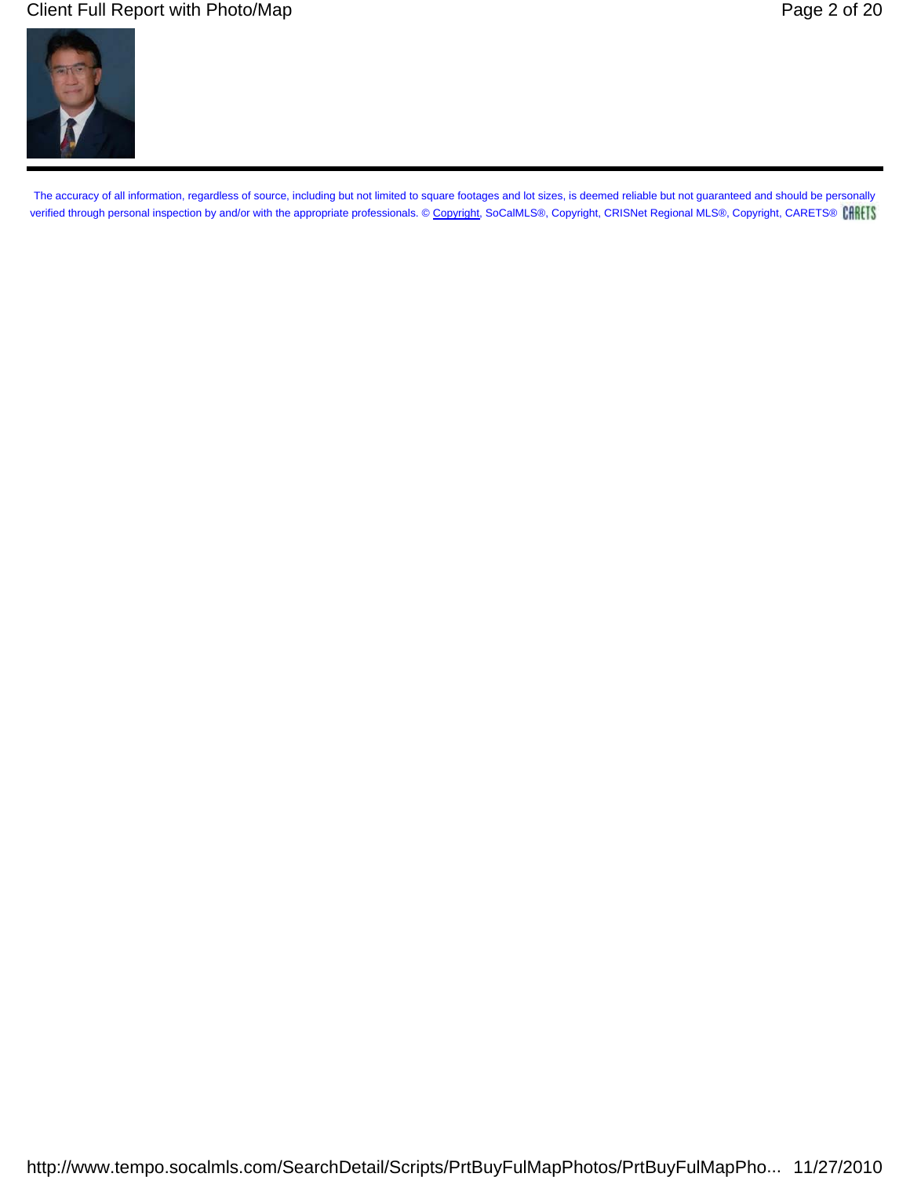### Client Full Report with Photo/Map **Page 2 of 20** All the Security Page 2 of 20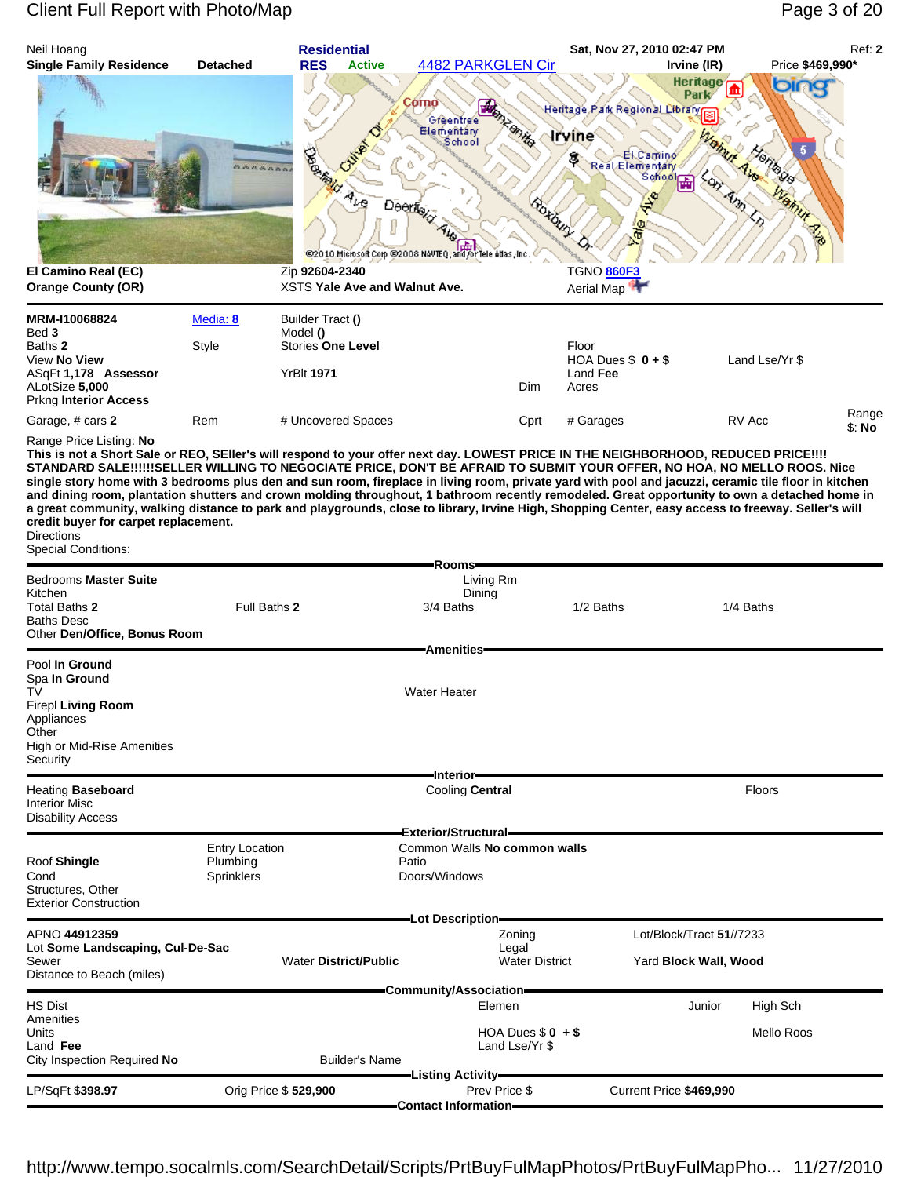| Neil Hoang                                                                                                                                                                                                                                                                                                                                                                                                                                                                                                                                                                                                                                                                                                                                                                                                                                         |                                                        | <b>Residential</b>                                                                                                        | 4482 PARKGLEN Cir                                                                                                                   |                                     | Sat, Nov 27, 2010 02:47 PM                                                                                           |                                                             | Price \$469,990* | Ref: 2          |
|----------------------------------------------------------------------------------------------------------------------------------------------------------------------------------------------------------------------------------------------------------------------------------------------------------------------------------------------------------------------------------------------------------------------------------------------------------------------------------------------------------------------------------------------------------------------------------------------------------------------------------------------------------------------------------------------------------------------------------------------------------------------------------------------------------------------------------------------------|--------------------------------------------------------|---------------------------------------------------------------------------------------------------------------------------|-------------------------------------------------------------------------------------------------------------------------------------|-------------------------------------|----------------------------------------------------------------------------------------------------------------------|-------------------------------------------------------------|------------------|-----------------|
| <b>Single Family Residence</b><br>El Camino Real (EC)<br><b>Orange County (OR)</b>                                                                                                                                                                                                                                                                                                                                                                                                                                                                                                                                                                                                                                                                                                                                                                 | <b>Detached</b>                                        | <b>RES</b><br><b>Active</b><br><b>Dogwer</b><br>$A_{\nu\alpha}$<br>Zip 92604-2340<br><b>XSTS Yale Ave and Walnut Ave.</b> | Como<br><b>READER</b><br>Greentree<br>Elementary<br>School<br>Deerfox<br>@2010 Microsoft Com @2008 NAVTEQ, and for Tele Atlas, Inc. | <b>Emily</b>                        | Heritage Park Regional Library<br><b>Irvine</b><br>Real El Camino<br>$\frac{\Phi}{\Phi}$<br>TGNO 860F3<br>Aerial Map | Irvine (IR)<br><b>Heritage</b><br>Park<br><b>School Haj</b> | bing<br>amur     |                 |
|                                                                                                                                                                                                                                                                                                                                                                                                                                                                                                                                                                                                                                                                                                                                                                                                                                                    |                                                        |                                                                                                                           |                                                                                                                                     |                                     |                                                                                                                      |                                                             |                  |                 |
| MRM-I10068824<br>Bed 3<br>Baths 2<br>View No View<br>ASqFt 1,178 Assessor<br>ALotSize 5,000<br>Prkng Interior Access                                                                                                                                                                                                                                                                                                                                                                                                                                                                                                                                                                                                                                                                                                                               | Media: 8<br>Style                                      | Builder Tract ()<br>Model ()<br><b>Stories One Level</b><br><b>YrBIt 1971</b>                                             |                                                                                                                                     | Dim                                 | Floor<br>HOA Dues $$0 + $$<br>Land Fee<br>Acres                                                                      |                                                             | Land Lse/Yr \$   |                 |
| Garage, # cars 2                                                                                                                                                                                                                                                                                                                                                                                                                                                                                                                                                                                                                                                                                                                                                                                                                                   | Rem                                                    | # Uncovered Spaces                                                                                                        |                                                                                                                                     | Cprt                                | # Garages                                                                                                            |                                                             | RV Acc           | Range<br>\$: No |
| Range Price Listing: No<br>This is not a Short Sale or REO, SEller's will respond to your offer next day. LOWEST PRICE IN THE NEIGHBORHOOD, REDUCED PRICE!!!!<br>STANDARD SALE!!!!!!SELLER WILLING TO NEGOCIATE PRICE, DON'T BE AFRAID TO SUBMIT YOUR OFFER, NO HOA, NO MELLO ROOS. Nice<br>single story home with 3 bedrooms plus den and sun room, fireplace in living room, private yard with pool and jacuzzi, ceramic tile floor in kitchen<br>and dining room, plantation shutters and crown molding throughout, 1 bathroom recently remodeled. Great opportunity to own a detached home in<br>a great community, walking distance to park and playgrounds, close to library, Irvine High, Shopping Center, easy access to freeway. Seller's will<br>credit buyer for carpet replacement.<br><b>Directions</b><br><b>Special Conditions:</b> |                                                        |                                                                                                                           |                                                                                                                                     |                                     |                                                                                                                      |                                                             |                  |                 |
| Bedrooms Master Suite                                                                                                                                                                                                                                                                                                                                                                                                                                                                                                                                                                                                                                                                                                                                                                                                                              |                                                        |                                                                                                                           | -Rooms-<br>Living Rm                                                                                                                |                                     |                                                                                                                      |                                                             |                  |                 |
| Kitchen<br>Total Baths 2<br><b>Baths Desc</b><br>Other Den/Office, Bonus Room                                                                                                                                                                                                                                                                                                                                                                                                                                                                                                                                                                                                                                                                                                                                                                      | Full Baths 2                                           |                                                                                                                           | Dining<br>3/4 Baths                                                                                                                 |                                     | 1/2 Baths                                                                                                            |                                                             | 1/4 Baths        |                 |
|                                                                                                                                                                                                                                                                                                                                                                                                                                                                                                                                                                                                                                                                                                                                                                                                                                                    |                                                        |                                                                                                                           | <b>Amenities</b>                                                                                                                    |                                     |                                                                                                                      |                                                             |                  |                 |
| Pool In Ground<br>Spa In Ground<br>TV<br>Firepl Living Room<br>Appliances<br>Other<br>High or Mid-Rise Amenities<br>Security                                                                                                                                                                                                                                                                                                                                                                                                                                                                                                                                                                                                                                                                                                                       |                                                        |                                                                                                                           | <b>Water Heater</b>                                                                                                                 |                                     |                                                                                                                      |                                                             |                  |                 |
| <b>Heating Baseboard</b>                                                                                                                                                                                                                                                                                                                                                                                                                                                                                                                                                                                                                                                                                                                                                                                                                           |                                                        |                                                                                                                           | -Interior-<br>Cooling Central                                                                                                       |                                     |                                                                                                                      |                                                             | <b>Floors</b>    |                 |
| <b>Interior Misc</b><br><b>Disability Access</b>                                                                                                                                                                                                                                                                                                                                                                                                                                                                                                                                                                                                                                                                                                                                                                                                   |                                                        |                                                                                                                           |                                                                                                                                     |                                     |                                                                                                                      |                                                             |                  |                 |
|                                                                                                                                                                                                                                                                                                                                                                                                                                                                                                                                                                                                                                                                                                                                                                                                                                                    |                                                        |                                                                                                                           | Exterior/Structural=                                                                                                                |                                     |                                                                                                                      |                                                             |                  |                 |
| Roof Shingle<br>Cond<br>Structures, Other<br><b>Exterior Construction</b>                                                                                                                                                                                                                                                                                                                                                                                                                                                                                                                                                                                                                                                                                                                                                                          | <b>Entry Location</b><br>Plumbing<br><b>Sprinklers</b> |                                                                                                                           | Common Walls No common walls<br>Patio<br>Doors/Windows                                                                              |                                     |                                                                                                                      |                                                             |                  |                 |
| APNO 44912359                                                                                                                                                                                                                                                                                                                                                                                                                                                                                                                                                                                                                                                                                                                                                                                                                                      |                                                        |                                                                                                                           | -Lot Description-                                                                                                                   | Zoning                              |                                                                                                                      | Lot/Block/Tract 51//7233                                    |                  |                 |
| Lot Some Landscaping, Cul-De-Sac<br>Sewer<br>Distance to Beach (miles)                                                                                                                                                                                                                                                                                                                                                                                                                                                                                                                                                                                                                                                                                                                                                                             |                                                        | <b>Water District/Public</b>                                                                                              |                                                                                                                                     | Legal<br><b>Water District</b>      |                                                                                                                      | Yard Block Wall, Wood                                       |                  |                 |
| HS Dist                                                                                                                                                                                                                                                                                                                                                                                                                                                                                                                                                                                                                                                                                                                                                                                                                                            |                                                        |                                                                                                                           | -Community/Association-<br>Elemen                                                                                                   |                                     |                                                                                                                      | Junior                                                      | High Sch         |                 |
| Amenities<br>Units<br>Land Fee<br>City Inspection Required No                                                                                                                                                                                                                                                                                                                                                                                                                                                                                                                                                                                                                                                                                                                                                                                      |                                                        | <b>Builder's Name</b>                                                                                                     |                                                                                                                                     | HOA Dues $$0 + $$<br>Land Lse/Yr \$ |                                                                                                                      |                                                             | Mello Roos       |                 |
| LP/SqFt \$398.97                                                                                                                                                                                                                                                                                                                                                                                                                                                                                                                                                                                                                                                                                                                                                                                                                                   |                                                        | Orig Price \$529,900                                                                                                      | -Listing Activity <del>–</del><br>Prev Price \$                                                                                     |                                     |                                                                                                                      | Current Price \$469,990                                     |                  |                 |
|                                                                                                                                                                                                                                                                                                                                                                                                                                                                                                                                                                                                                                                                                                                                                                                                                                                    |                                                        |                                                                                                                           | <b>Contact Information-</b>                                                                                                         |                                     |                                                                                                                      |                                                             |                  |                 |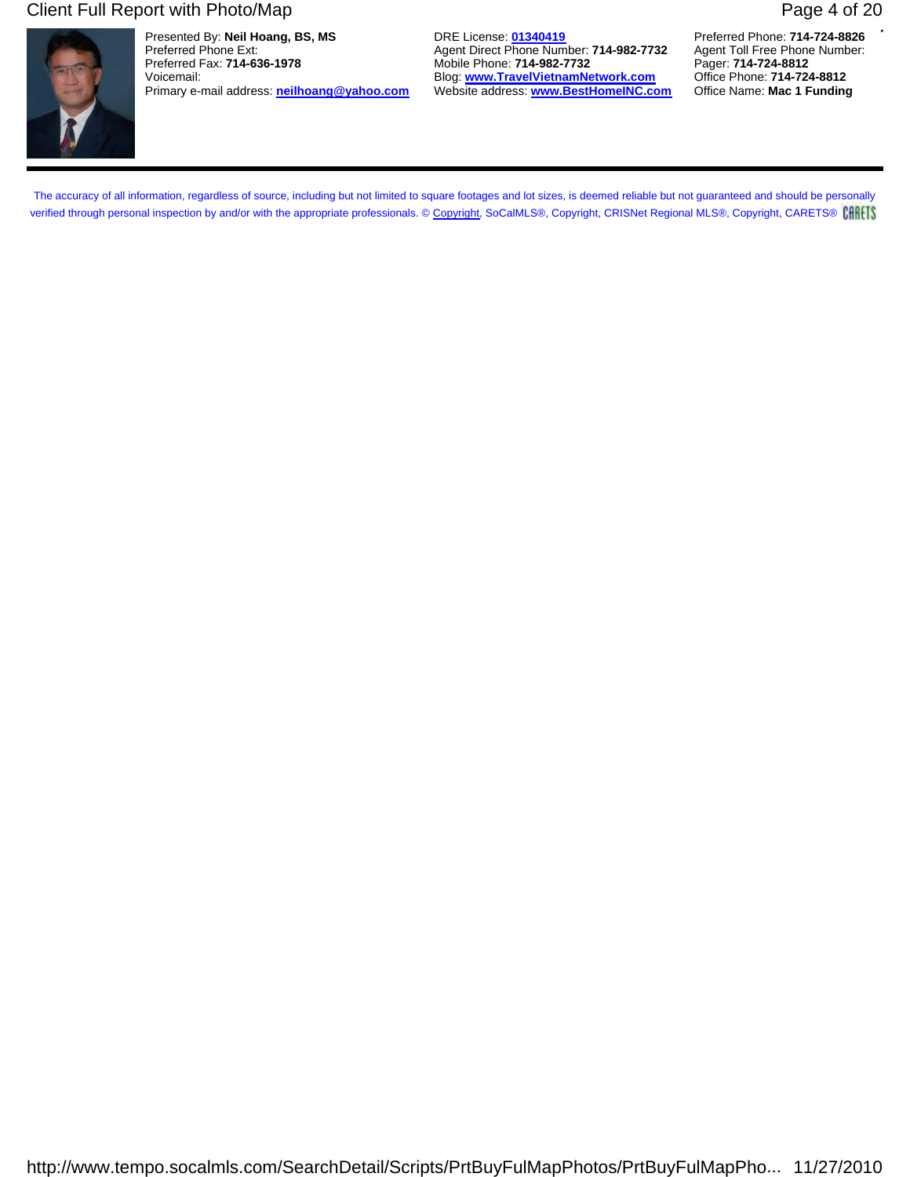### Client Full Report with Photo/Map **Page 4 of 20** Page 4 of 20



Presented By: **Neil Hoang, BS, MS** DRE License: **01340419** Preferred Phone: **714-724-8826** Preferred Phone Ext: **Agent Direct Phone Number: 714-982-7732** Agent Toll Free Phone Number: **Preferred Fax: 714-636-1978** Agent Toll Free Phone Number: **Preferred Fax: 714-636-1978** Agent: **714-982-7732** Agent: **714-724-8** Primary e-mail address: **neilhoang@yahoo.com** 

Mobile Phone: **714-982-7732** Pager: **714-724-8812**<br>Blog: www.TravelVietnamNetwork.com Office Phone: 714-724-8812 Voicemail: Blog: **www.TravelVietnamNetwork.com** Office Phone: **714-724-8812**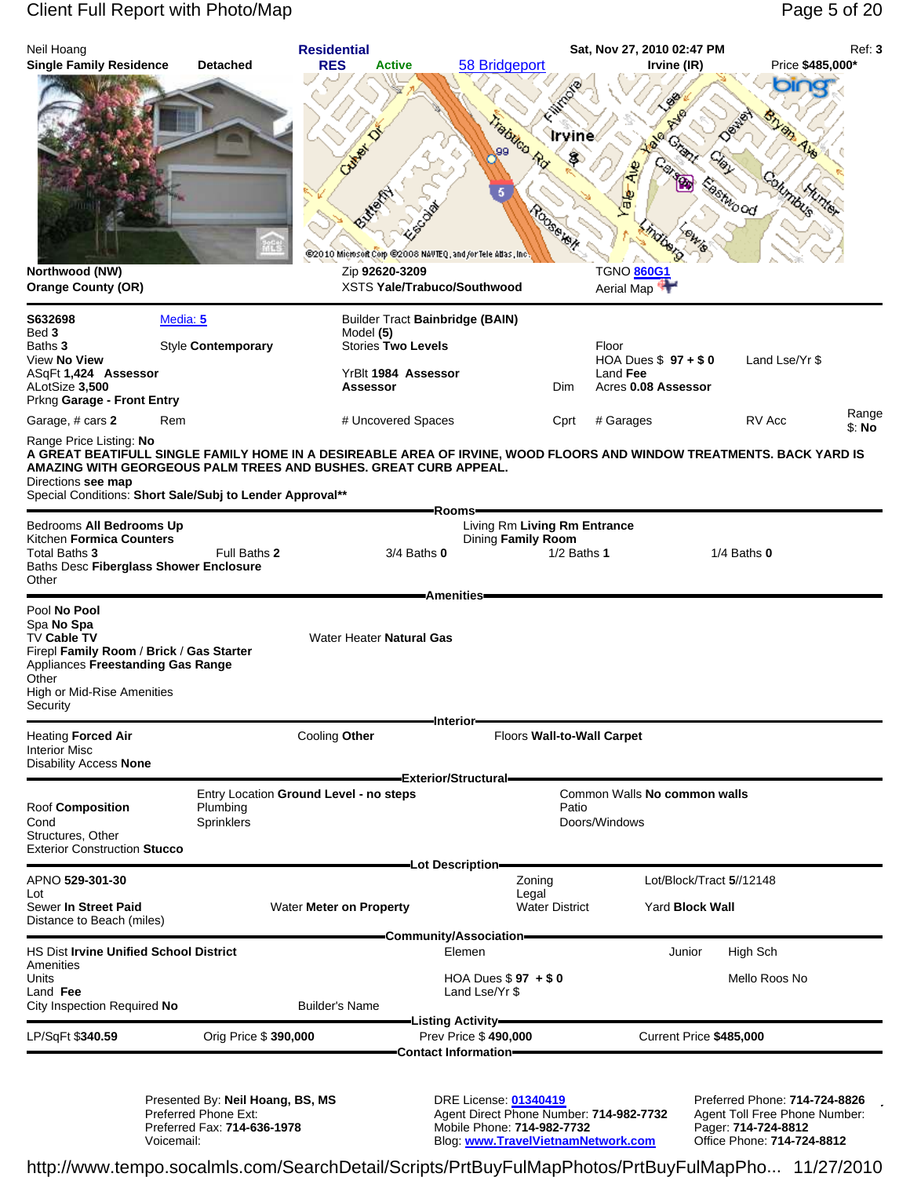## Client Full Report with Photo/Map **Page 5 of 20** Page 5 of 20

| Neil Hoang                                                                                                                                                                                        |                                                          | <b>Residential</b>                                                                                                              |                                                                            |                                                                     | Sat, Nov 27, 2010 02:47 PM                                                                                                        |                                                                | Ref: 3 |
|---------------------------------------------------------------------------------------------------------------------------------------------------------------------------------------------------|----------------------------------------------------------|---------------------------------------------------------------------------------------------------------------------------------|----------------------------------------------------------------------------|---------------------------------------------------------------------|-----------------------------------------------------------------------------------------------------------------------------------|----------------------------------------------------------------|--------|
| <b>Single Family Residence</b><br>Northwood (NW)<br><b>Orange County (OR)</b>                                                                                                                     | <b>Detached</b>                                          | <b>RES</b><br><b>Active</b><br><b>Children</b><br>@2010 Microsoft Corp @2008 NAVTEQ, and /or Tele Atlas, Inc.<br>Zip 92620-3209 | 58 Bridgeport<br><b>XSTS Yale/Trabuco/Southwood</b>                        | Frabileo Rd<br><b>Irvine</b><br><b>COSSE KON</b>                    | Irvine (IR)<br>Grape<br>呵<br><b>DUBE</b><br><b>TGNO 860G1</b><br>Aerial Map                                                       | Price \$485,000*<br>The<br><b>BShto od</b><br>mbus             | max    |
| S632698<br>Bed 3<br>Baths 3<br>View No View<br>ASqFt 1,424 Assessor<br>ALotSize 3,500<br>Prkng Garage - Front Entry                                                                               | Media: 5<br>Style Contemporary                           | Model (5)<br><b>Stories Two Levels</b><br>YrBlt 1984 Assessor<br>Assessor                                                       | <b>Builder Tract Bainbridge (BAIN)</b>                                     | Dim                                                                 | Floor<br>HOA Dues $$97 + $0$<br>Land Fee<br>Acres 0.08 Assessor                                                                   | Land Lse/Yr \$                                                 | Range  |
| Garage, # cars 2<br>Range Price Listing: No<br>AMAZING WITH GEORGEOUS PALM TREES AND BUSHES. GREAT CURB APPEAL.<br>Directions see map<br>Special Conditions: Short Sale/Subj to Lender Approval** | Rem                                                      | # Uncovered Spaces                                                                                                              | Rooms-                                                                     | Cprt                                                                | # Garages<br>A GREAT BEATIFULL SINGLE FAMILY HOME IN A DESIREABLE AREA OF IRVINE, WOOD FLOORS AND WINDOW TREATMENTS. BACK YARD IS | RV Acc                                                         | \$: No |
| Bedrooms All Bedrooms Up<br>Kitchen Formica Counters<br>Total Baths 3<br>Baths Desc Fiberglass Shower Enclosure<br>Other                                                                          | Full Baths 2                                             |                                                                                                                                 | 3/4 Baths 0                                                                | Living Rm Living Rm Entrance<br>Dining Family Room<br>$1/2$ Baths 1 |                                                                                                                                   | 1/4 Baths $0$                                                  |        |
| Pool No Pool<br>Spa No Spa<br>TV Cable TV<br>Firepl Family Room / Brick / Gas Starter<br>Appliances Freestanding Gas Range<br>Other<br>High or Mid-Rise Amenities<br>Security                     |                                                          | Water Heater Natural Gas                                                                                                        | Amenities-<br>-Interior-                                                   |                                                                     |                                                                                                                                   |                                                                |        |
| <b>Heating Forced Air</b><br><b>Interior Misc</b><br><b>Disability Access None</b>                                                                                                                |                                                          | Cooling Other                                                                                                                   |                                                                            | Floors Wall-to-Wall Carpet                                          |                                                                                                                                   |                                                                |        |
| Roof Composition<br>Cond<br>Structures, Other<br><b>Exterior Construction Stucco</b>                                                                                                              | Plumbing<br>Sprinklers                                   | Entry Location Ground Level - no steps                                                                                          | Exterior/Structural-                                                       | Patio                                                               | Common Walls No common walls<br>Doors/Windows                                                                                     |                                                                |        |
| APNO 529-301-30                                                                                                                                                                                   |                                                          |                                                                                                                                 | -Lot Description-                                                          | Zoning                                                              | Lot/Block/Tract 5//12148                                                                                                          |                                                                |        |
| Lot<br>Sewer In Street Paid<br>Distance to Beach (miles)                                                                                                                                          |                                                          | Water Meter on Property                                                                                                         |                                                                            | Legal<br><b>Water District</b>                                      | Yard Block Wall                                                                                                                   |                                                                |        |
| <b>HS Dist Irvine Unified School District</b><br>Amenities<br>Units<br>Land Fee<br>City Inspection Required No                                                                                    |                                                          | <b>Builder's Name</b>                                                                                                           | -Community/Association-<br>Elemen<br>HOA Dues $$97 + $0$<br>Land Lse/Yr \$ |                                                                     | Junior                                                                                                                            | High Sch<br>Mello Roos No                                      |        |
| LP/SqFt \$340.59                                                                                                                                                                                  | Orig Price \$ 390,000                                    |                                                                                                                                 | -Listing Activity <del>—</del><br>Prev Price \$490,000                     |                                                                     | Current Price \$485,000                                                                                                           |                                                                |        |
|                                                                                                                                                                                                   | Presented By: Neil Hoang, BS, MS<br>Preferred Phone Ext: |                                                                                                                                 | <b>Contact Information=</b><br><b>DRE License: 01340419</b>                | Agent Direct Phone Number: 714-982-7732                             |                                                                                                                                   | Preferred Phone: 714-724-8826<br>Agent Toll Free Phone Number: |        |

Preferred Fax: **714-636-1978** Mobile Phone: **714-982-7732** Pager: **714-724-8812** Preferred Phone Ext: The Ext: The Ext: Agent Direct Phone Number: **714-982-7732**<br>Preferred Fax: **714-636-1978** Mobile Phone: **714-982-7732** Pager: **714-724-8812**<br>Voicemail: Blog: www.TravelVietnamNetwork.com Office Phone: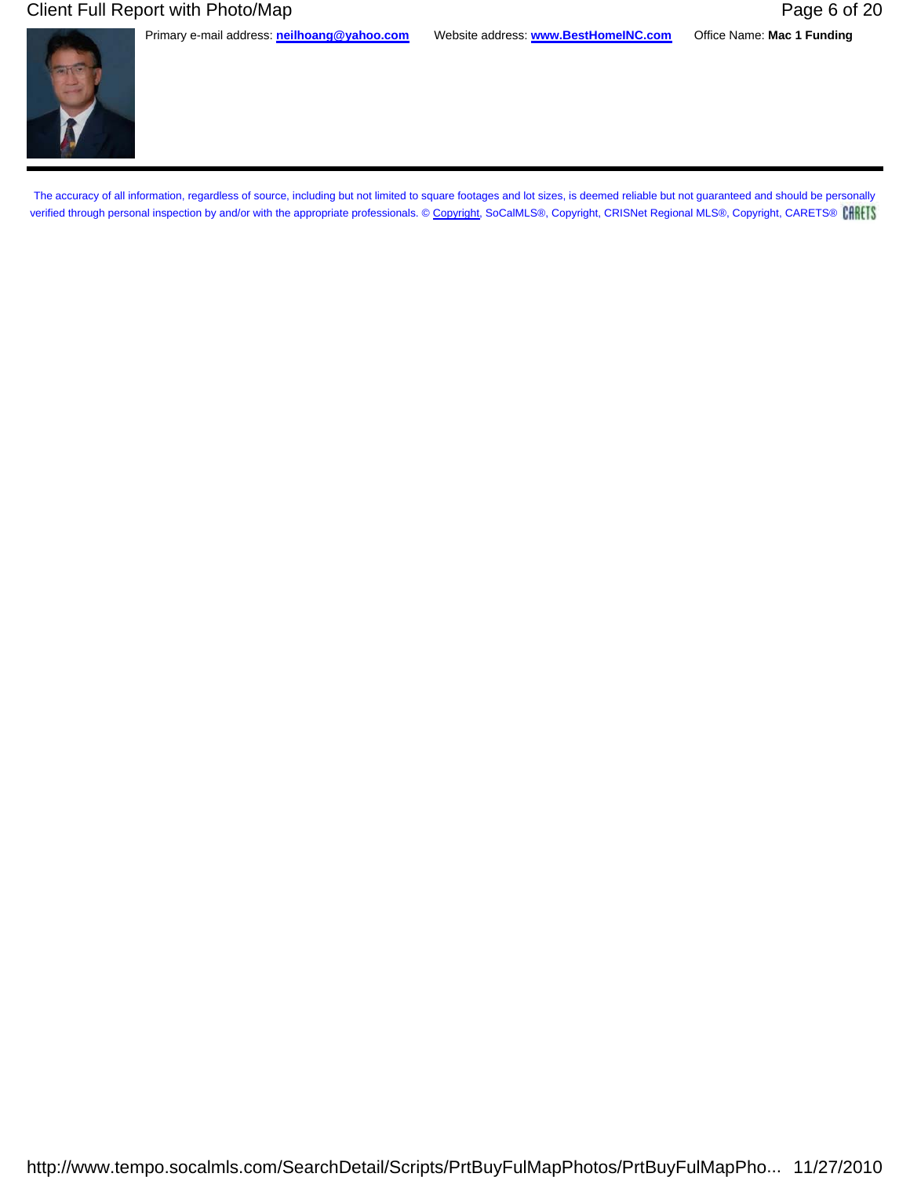### Client Full Report with Photo/Map **Page 6 of 20** Number 20 20

Primary e-mail address: **neilhoang@yahoo.com** Website address: **www.BestHomeINC.com** Office Name: **Mac 1 Funding**

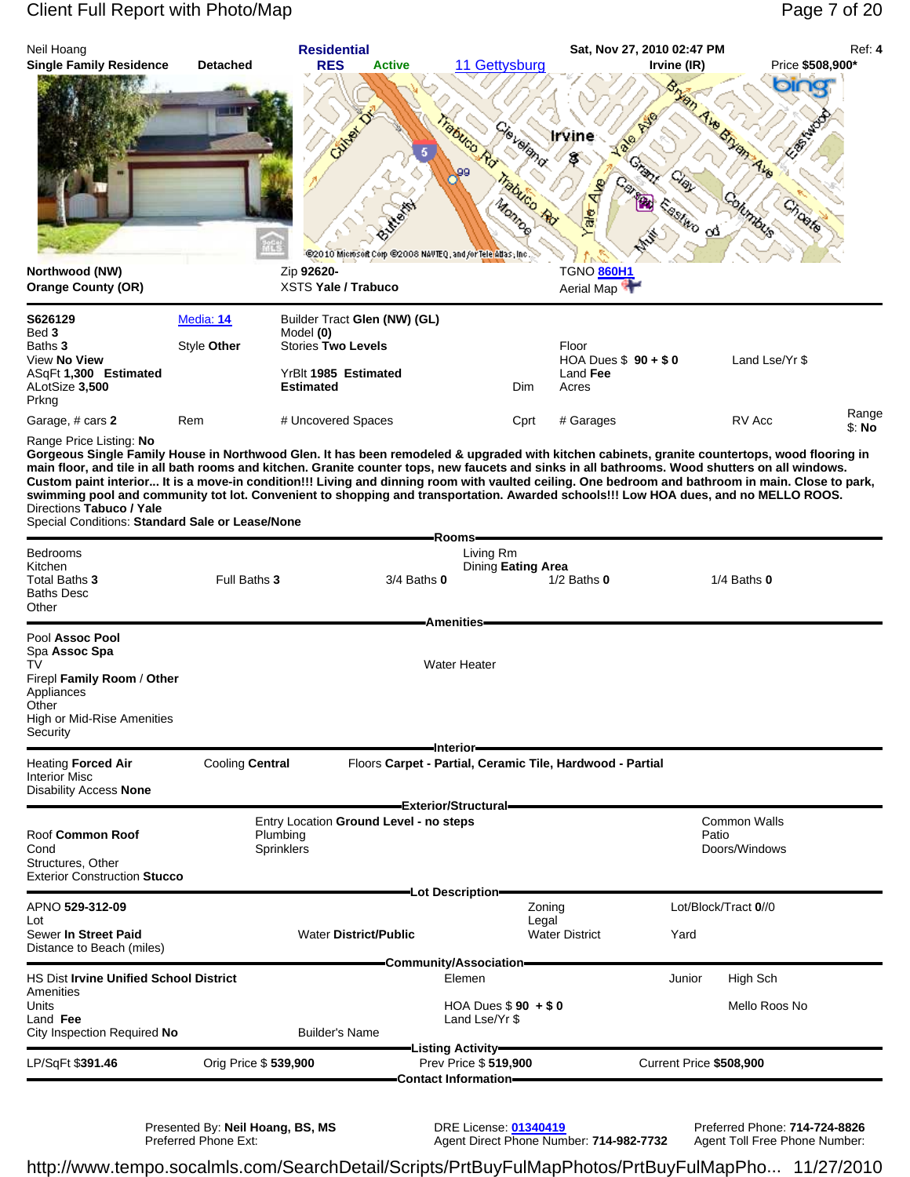### Client Full Report with Photo/Map Page 7 of 20



Presented By: **Neil Hoang, BS, MS** DRE License: **01340419** Preferred Phone: **714-724-8826** Preferred Phone Ext: Agent Direct Phone Number: **714-982-7732** Agent Toll Free Phone Number: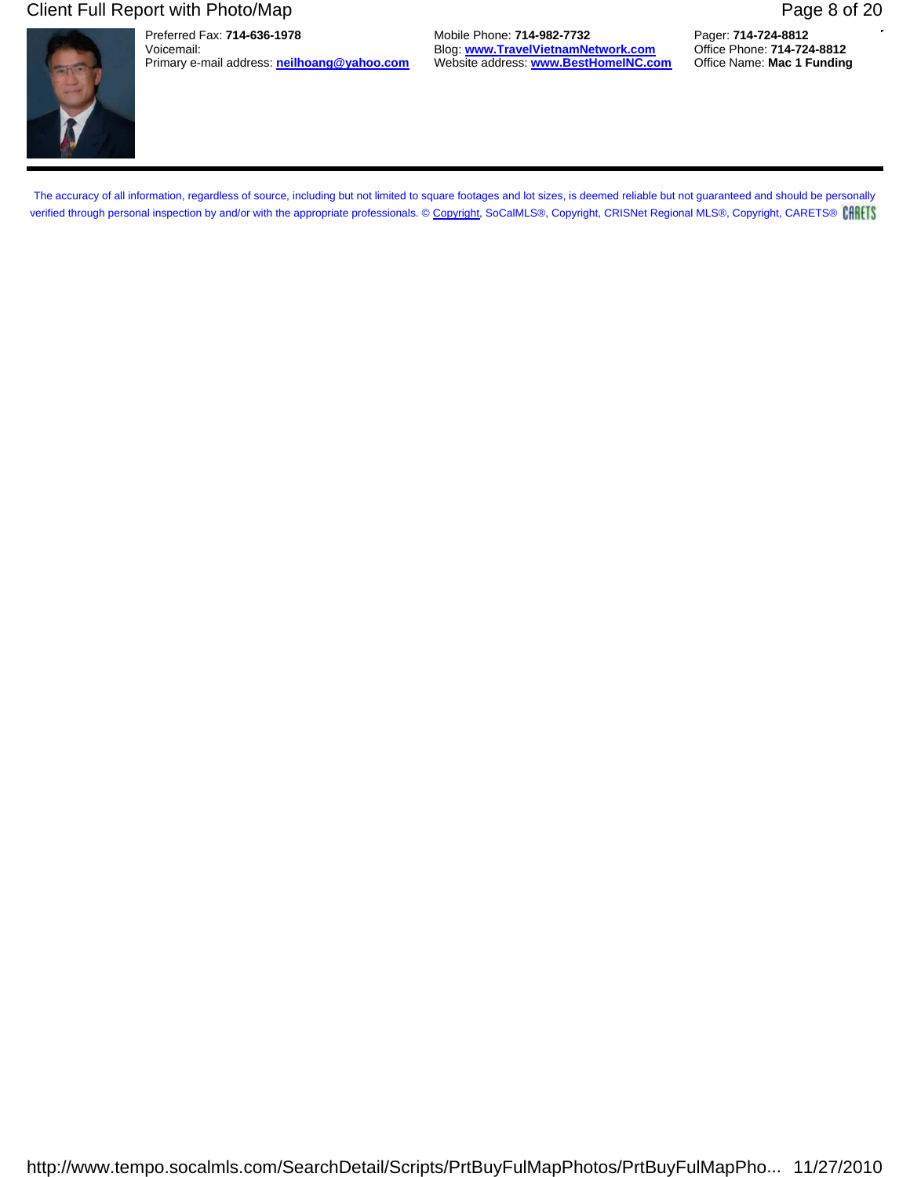### Client Full Report with Photo/Map **Page 8 of 20**

Preferred Fax: **714-636-1978** Mobile Phone: **714-982-7732** Pager: **714-724-8812** Blog: **www.TravelVietnamNetwork.com**<br>Website address: **www.BestHomeINC.com** Primary e-mail address: **neilhoang@yahoo.com** Website address: **www.BestHomeINC.com** Office Name: **Mac 1 Funding**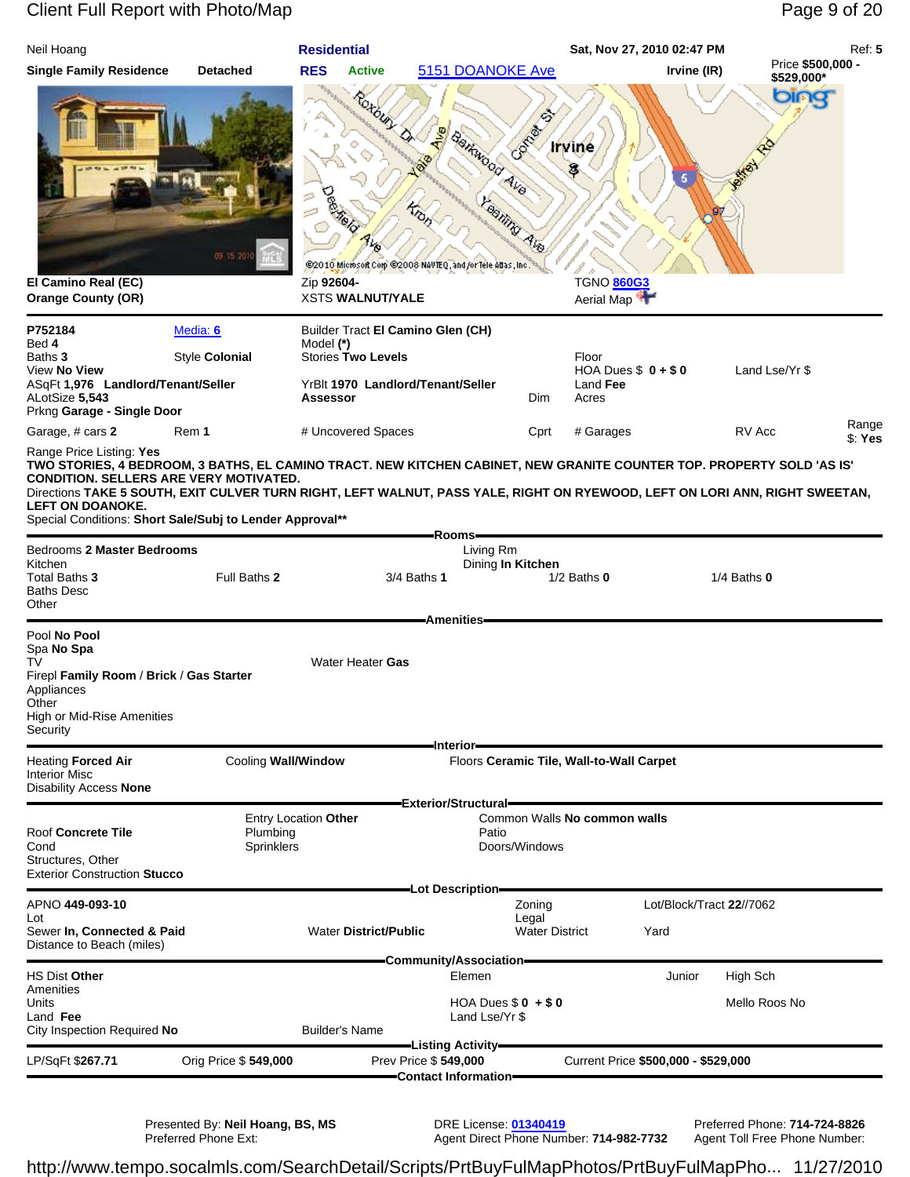# Client Full Report with Photo/Map **Page 9 of 20** All end of 20

| Neil Hoang                                                                                                                                                                                                                                                                                            |                               | <b>Residential</b>                     |                                                                                         |                                               | Sat, Nov 27, 2010 02:47 PM                            |                          | Ref: 5                          |
|-------------------------------------------------------------------------------------------------------------------------------------------------------------------------------------------------------------------------------------------------------------------------------------------------------|-------------------------------|----------------------------------------|-----------------------------------------------------------------------------------------|-----------------------------------------------|-------------------------------------------------------|--------------------------|---------------------------------|
| <b>Single Family Residence</b>                                                                                                                                                                                                                                                                        | <b>Detached</b>               | <b>RES</b><br><b>Active</b>            |                                                                                         | 5151 DOANOKE Ave                              |                                                       | Irvine (IR)              | Price \$500,000 -<br>\$529,000* |
| El Camino Real (EC)<br><b>Orange County (OR)</b>                                                                                                                                                                                                                                                      | 09 15 20                      | Zip 92604-<br><b>XSTS WALNUT/YALE</b>  | Roxbury<br>$\frac{5}{2}$<br>@2010 Microsoft Corp @2008 NAVTEQ, and /or Tele Atlas, Inc. | Comment<br>Saltwood Ave<br><b>Eaglify Ave</b> | <u>Irvine</u><br>3<br><b>TGNO 860G3</b><br>Aerial Map | 5                        | oinc                            |
| P752184                                                                                                                                                                                                                                                                                               | Media: 6                      |                                        | Builder Tract El Camino Glen (CH)                                                       |                                               |                                                       |                          |                                 |
| Bed 4<br>Baths 3                                                                                                                                                                                                                                                                                      | Style Colonial                | Model (*)<br><b>Stories Two Levels</b> |                                                                                         |                                               | Floor                                                 |                          |                                 |
| View No View                                                                                                                                                                                                                                                                                          |                               |                                        |                                                                                         |                                               | HOA Dues $$0 + $0$                                    | Land Lse/Yr \$           |                                 |
| ASqFt 1,976 Landlord/Tenant/Seller<br>ALotSize 5,543<br>Prkng Garage - Single Door                                                                                                                                                                                                                    |                               | <b>Assessor</b>                        | YrBlt 1970 Landlord/Tenant/Seller                                                       | Dim                                           | Land Fee<br>Acres                                     |                          |                                 |
| Garage, # cars 2                                                                                                                                                                                                                                                                                      | Rem 1                         | # Uncovered Spaces                     |                                                                                         | Cprt                                          | # Garages                                             | RV Acc                   | Range<br>\$: Yes                |
| Range Price Listing: Yes<br>TWO STORIES, 4 BEDROOM, 3 BATHS, EL CAMINO TRACT. NEW KITCHEN CABINET, NEW GRANITE COUNTER TOP. PROPERTY SOLD 'AS IS'                                                                                                                                                     |                               |                                        |                                                                                         |                                               |                                                       |                          |                                 |
| CONDITION. SELLERS ARE VERY MOTIVATED.<br>Directions TAKE 5 SOUTH, EXIT CULVER TURN RIGHT, LEFT WALNUT, PASS YALE, RIGHT ON RYEWOOD, LEFT ON LORI ANN, RIGHT SWEETAN,<br><b>LEFT ON DOANOKE.</b><br>Special Conditions: Short Sale/Subj to Lender Approval**<br>Bedrooms 2 Master Bedrooms<br>Kitchen |                               |                                        |                                                                                         | Rooms-<br>Living Rm<br>Dining In Kitchen      |                                                       |                          |                                 |
| Total Baths 3<br><b>Baths Desc</b><br>Other                                                                                                                                                                                                                                                           | Full Baths 2                  |                                        | 3/4 Baths 1                                                                             | <b>Amenities</b>                              | $1/2$ Baths $0$                                       | $1/4$ Baths $0$          |                                 |
| Pool No Pool<br>Spa No Spa<br>TV                                                                                                                                                                                                                                                                      |                               | Water Heater Gas                       |                                                                                         |                                               |                                                       |                          |                                 |
| Firepl Family Room / Brick / Gas Starter<br>Appliances<br>Other<br>High or Mid-Rise Amenities<br>Security                                                                                                                                                                                             |                               |                                        |                                                                                         | Interior-                                     |                                                       |                          |                                 |
| <b>Heating Forced Air</b>                                                                                                                                                                                                                                                                             | Cooling Wall/Window           |                                        |                                                                                         |                                               | Floors Ceramic Tile, Wall-to-Wall Carpet              |                          |                                 |
| <b>Interior Misc</b><br><b>Disability Access None</b>                                                                                                                                                                                                                                                 |                               |                                        |                                                                                         | Exterior/Structural=                          |                                                       |                          |                                 |
|                                                                                                                                                                                                                                                                                                       |                               | Entry Location Other                   |                                                                                         |                                               | Common Walls No common walls                          |                          |                                 |
| <b>Roof Concrete Tile</b><br>Cond                                                                                                                                                                                                                                                                     | Plumbing<br><b>Sprinklers</b> |                                        |                                                                                         | Patio<br>Doors/Windows                        |                                                       |                          |                                 |
| Structures, Other<br><b>Exterior Construction Stucco</b>                                                                                                                                                                                                                                              |                               |                                        |                                                                                         | -Lot Description-                             |                                                       |                          |                                 |
| APNO 449-093-10                                                                                                                                                                                                                                                                                       |                               |                                        |                                                                                         | Zoning                                        |                                                       | Lot/Block/Tract 22//7062 |                                 |
| Lot<br>Sewer In, Connected & Paid<br>Distance to Beach (miles)                                                                                                                                                                                                                                        |                               | <b>Water District/Public</b>           |                                                                                         | Legal<br><b>Water District</b>                | Yard                                                  |                          |                                 |
|                                                                                                                                                                                                                                                                                                       |                               |                                        |                                                                                         | Community/Association=                        |                                                       |                          |                                 |
| <b>HS Dist Other</b><br>Amenities                                                                                                                                                                                                                                                                     |                               |                                        |                                                                                         | Elemen                                        |                                                       | High Sch<br>Junior       |                                 |
| Units<br>Land Fee<br>City Inspection Required No                                                                                                                                                                                                                                                      |                               | <b>Builder's Name</b>                  |                                                                                         | HOA Dues $$0 + $0$<br>Land Lse/Yr \$          |                                                       | Mello Roos No            |                                 |
|                                                                                                                                                                                                                                                                                                       |                               |                                        | -Listing Activity-                                                                      |                                               |                                                       |                          |                                 |
| LP/SqFt \$267.71                                                                                                                                                                                                                                                                                      | Orig Price \$549,000          |                                        | Prev Price \$549,000                                                                    | Contact Information=                          | Current Price \$500,000 - \$529,000                   |                          |                                 |
|                                                                                                                                                                                                                                                                                                       |                               |                                        |                                                                                         |                                               |                                                       |                          |                                 |

Presented By: **Neil Hoang, BS, MS** DRE License: **01340419** Preferred Phone: **714-724-8826**

Preferred Phone Ext: Agent Direct Phone Number: **714-982-7732** Agent Toll Free Phone Number: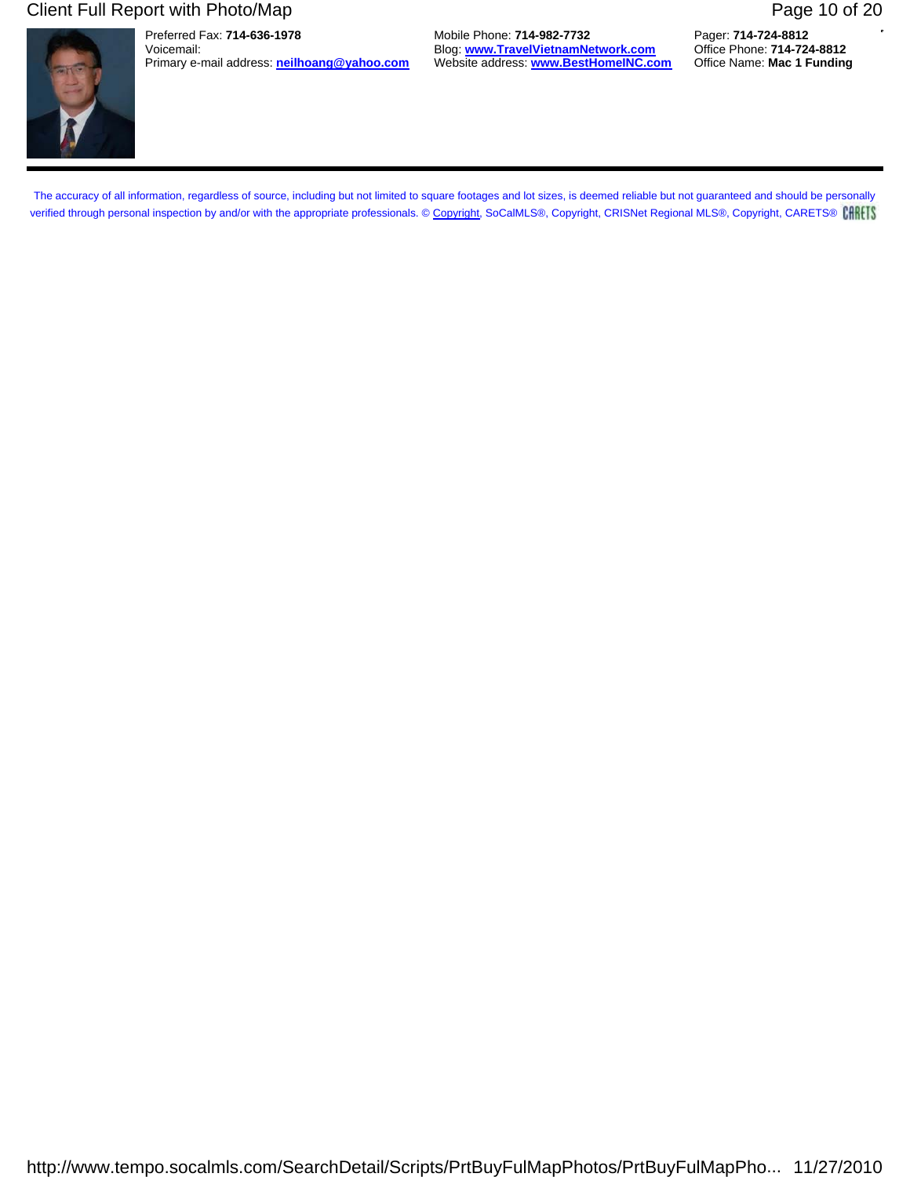### Client Full Report with Photo/Map **Page 10 of 20** Page 10 of 20

Preferred Fax: **714-636-1978** Mobile Phone: **714-982-7732** Pager: **714-724-8812** Blog: **www.TravelVietnamNetwork.com**<br>Website address: **www.BestHomeINC.com** Primary e-mail address: **neilhoang@yahoo.com** Website address: **www.BestHomeINC.com** Office Name: **Mac 1 Funding**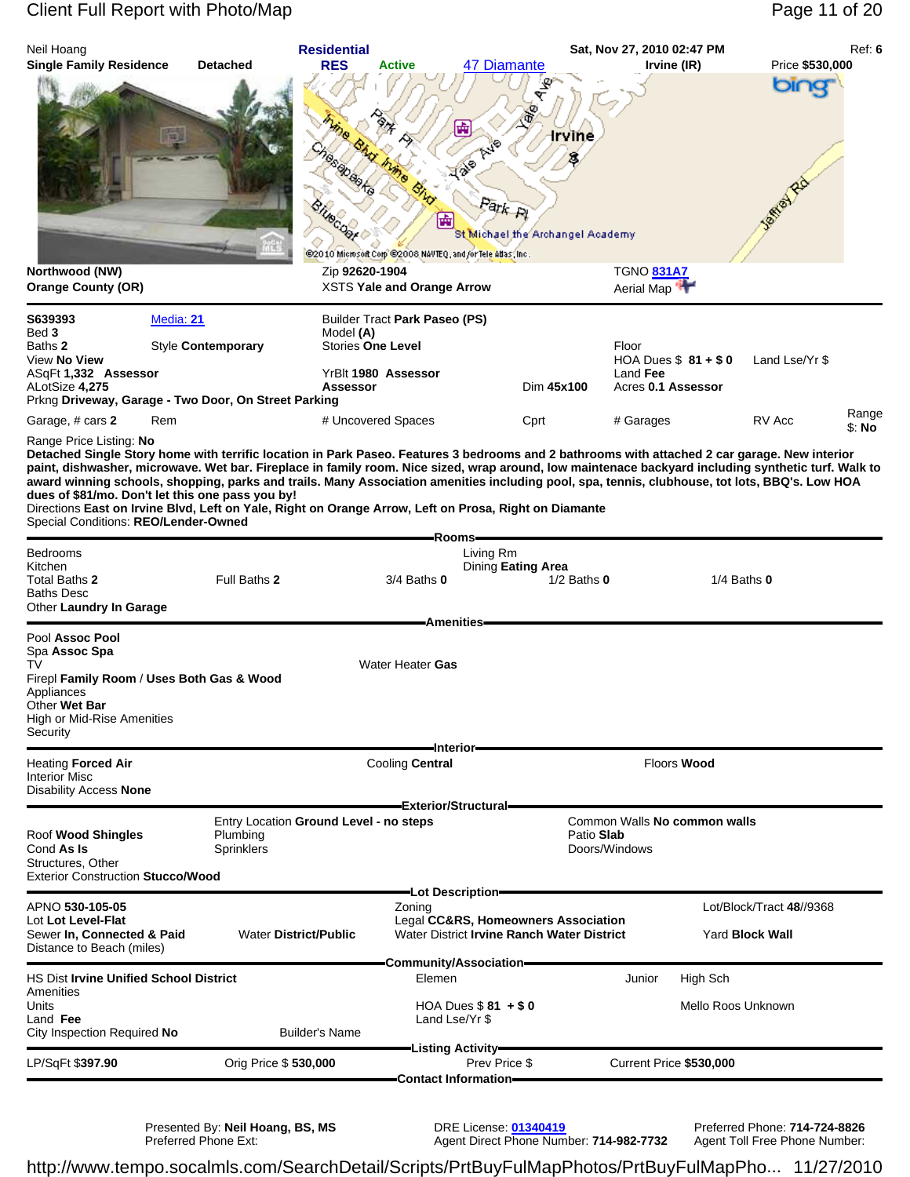| Neil Hoang<br><b>Single Family Residence</b>                                                                           | <b>Detached</b>                                                                                                                                                                                                                                                                                                                                                                                                                                                                    | <b>Residential</b><br><b>RES</b><br><b>Active</b>                                                           | 47 Diamante                                                                                                                            | Sat, Nov 27, 2010 02:47 PM                                  | Irvine (IR)                               | Ref: 6<br>Price \$530,000 |
|------------------------------------------------------------------------------------------------------------------------|------------------------------------------------------------------------------------------------------------------------------------------------------------------------------------------------------------------------------------------------------------------------------------------------------------------------------------------------------------------------------------------------------------------------------------------------------------------------------------|-------------------------------------------------------------------------------------------------------------|----------------------------------------------------------------------------------------------------------------------------------------|-------------------------------------------------------------|-------------------------------------------|---------------------------|
|                                                                                                                        |                                                                                                                                                                                                                                                                                                                                                                                                                                                                                    |                                                                                                             | ø<br>₩<br>$\phi_{\overrightarrow{q}\circ}^{\dagger\circ}$<br>$42^{\circ}$<br>Bistr<br>Park Pi<br>圇<br>St Michael the Archangel Academy | irvīne                                                      |                                           | bing                      |
| Northwood (NW)<br><b>Orange County (OR)</b>                                                                            |                                                                                                                                                                                                                                                                                                                                                                                                                                                                                    | @2010 Microsoft Corp @2008 NAVTEQ, and /or Tele Atlas, Inc.<br>Zip 92620-1904<br>XSTS Yale and Orange Arrow |                                                                                                                                        | <b>TGNO 831A7</b><br>Aerial Map                             |                                           |                           |
| S639393                                                                                                                | Media: 21                                                                                                                                                                                                                                                                                                                                                                                                                                                                          | Builder Tract Park Paseo (PS)                                                                               |                                                                                                                                        |                                                             |                                           |                           |
| Bed 3<br>Baths 2<br>View No View<br>ASqFt 1,332 Assessor<br>ALotSize 4,275                                             | Style Contemporary<br>Prkng Driveway, Garage - Two Door, On Street Parking                                                                                                                                                                                                                                                                                                                                                                                                         | Model (A)<br><b>Stories One Level</b><br>YrBlt 1980 Assessor<br>Assessor                                    |                                                                                                                                        | Floor<br>Land Fee<br>Dim 45x100                             | HOA Dues $$81 + $0$<br>Acres 0.1 Assessor | Land Lse/Yr \$            |
| Garage, # cars 2                                                                                                       | Rem                                                                                                                                                                                                                                                                                                                                                                                                                                                                                | # Uncovered Spaces                                                                                          | Cprt                                                                                                                                   | # Garages                                                   |                                           | Range<br>RV Acc<br>\$: No |
| Special Conditions: REO/Lender-Owned<br>Bedrooms<br>Kitchen<br>Total Baths 2<br><b>Baths Desc</b>                      | paint, dishwasher, microwave. Wet bar. Fireplace in family room. Nice sized, wrap around, low maintenace backyard including synthetic turf. Walk to<br>award winning schools, shopping, parks and trails. Many Association amenities including pool, spa, tennis, clubhouse, tot lots, BBQ's. Low HOA<br>dues of \$81/mo. Don't let this one pass you by!<br>Directions East on Irvine Blvd, Left on Yale, Right on Orange Arrow, Left on Prosa, Right on Diamante<br>Full Baths 2 | 3/4 Baths 0                                                                                                 | -Rooms-<br>Living Rm<br>Dining Eating Area                                                                                             | $1/2$ Baths $0$                                             | $1/4$ Baths $0$                           |                           |
| Other Laundry In Garage                                                                                                |                                                                                                                                                                                                                                                                                                                                                                                                                                                                                    |                                                                                                             |                                                                                                                                        |                                                             |                                           |                           |
| Pool Assoc Pool<br>Spa Assoc Spa<br>TV<br>Appliances<br>Other <b>Wet Bar</b><br>High or Mid-Rise Amenities<br>Security | Firepl Family Room / Uses Both Gas & Wood                                                                                                                                                                                                                                                                                                                                                                                                                                          | Water Heater Gas                                                                                            | <b>Amenities</b><br>-Interior-                                                                                                         |                                                             |                                           |                           |
| Heating <b>Forced Air</b><br><b>Interior Misc</b><br><b>Disability Access None</b>                                     |                                                                                                                                                                                                                                                                                                                                                                                                                                                                                    | <b>Cooling Central</b>                                                                                      |                                                                                                                                        |                                                             | <b>Floors Wood</b>                        |                           |
| Roof Wood Shingles<br>Cond As Is<br>Structures, Other<br><b>Exterior Construction Stucco/Wood</b>                      | Plumbing<br>Sprinklers                                                                                                                                                                                                                                                                                                                                                                                                                                                             | Entry Location Ground Level - no steps                                                                      | Exterior/Structural=                                                                                                                   | Common Walls No common walls<br>Patio Slab<br>Doors/Windows |                                           |                           |
| APNO 530-105-05<br>Lot Lot Level-Flat<br>Sewer In, Connected & Paid<br>Distance to Beach (miles)                       |                                                                                                                                                                                                                                                                                                                                                                                                                                                                                    | Zoning<br><b>Water District/Public</b>                                                                      | —Lot Description–<br>Legal CC&RS, Homeowners Association<br>Water District Irvine Ranch Water District                                 |                                                             | <b>Yard Block Wall</b>                    | Lot/Block/Tract 48//9368  |
| <b>HS Dist Irvine Unified School District</b>                                                                          |                                                                                                                                                                                                                                                                                                                                                                                                                                                                                    |                                                                                                             | -Community/Association-<br>Elemen                                                                                                      | Junior                                                      | High Sch                                  |                           |
| Amenities<br>Units<br>Land Fee<br>City Inspection Required No                                                          |                                                                                                                                                                                                                                                                                                                                                                                                                                                                                    | <b>Builder's Name</b>                                                                                       | HOA Dues $$81 + $0$<br>Land Lse/Yr \$                                                                                                  |                                                             | Mello Roos Unknown                        |                           |
| LP/SqFt \$397.90                                                                                                       | Orig Price \$530,000                                                                                                                                                                                                                                                                                                                                                                                                                                                               |                                                                                                             | -Listing Activity-<br>Prev Price \$                                                                                                    |                                                             | Current Price \$530,000                   |                           |
|                                                                                                                        |                                                                                                                                                                                                                                                                                                                                                                                                                                                                                    |                                                                                                             | Contact Information-                                                                                                                   |                                                             |                                           |                           |

Presented By: **Neil Hoang, BS, MS** DRE License: **01340419** Preferred Phone: **714-724-8826**

Preferred Phone Ext: Agent Direct Phone Number: **714-982-7732** Agent Toll Free Phone Number: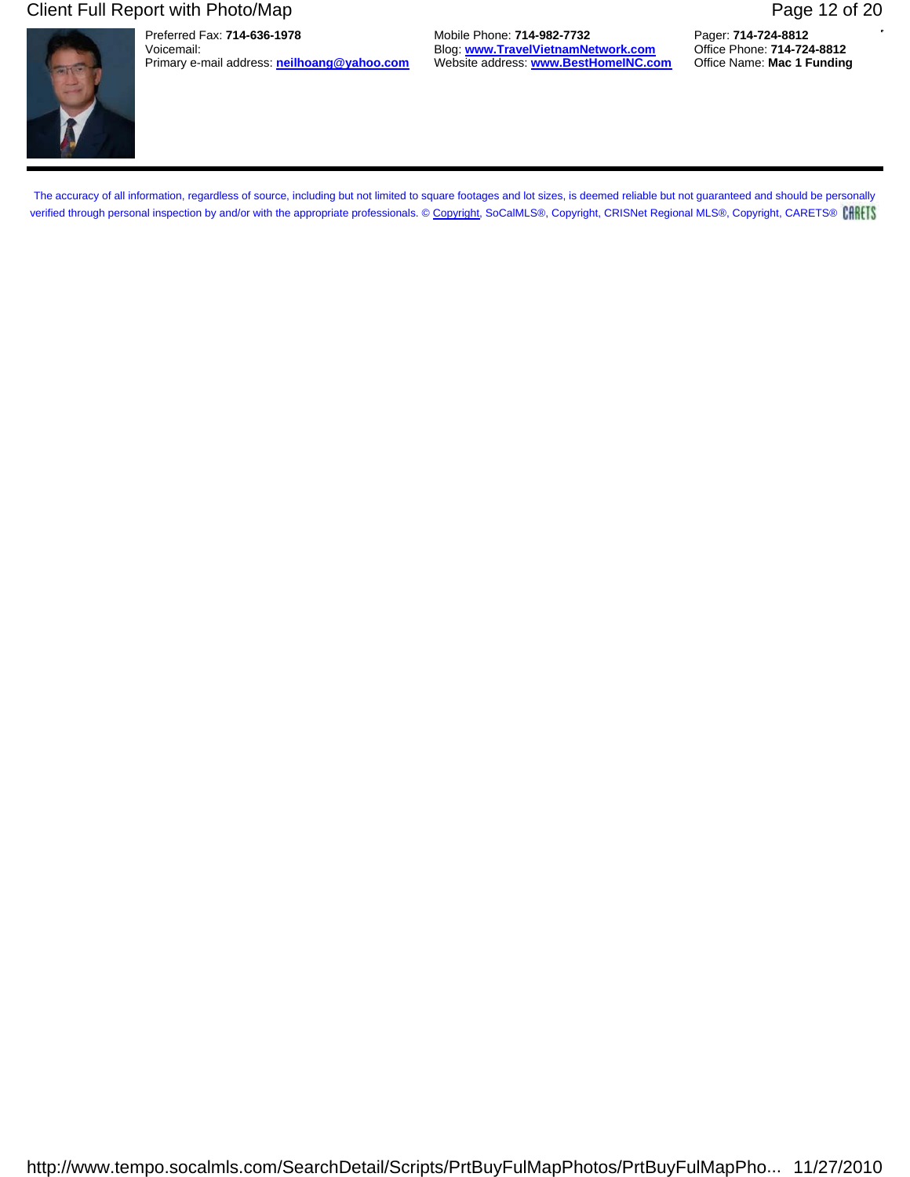### Client Full Report with Photo/Map **Page 12 of 20** Page 12 of 20

Preferred Fax: **714-636-1978** Mobile Phone: **714-982-7732** Pager: **714-724-8812** Blog: **www.TravelVietnamNetwork.com**<br>Website address: **www.BestHomeINC.com** Primary e-mail address: **neilhoang@yahoo.com** Website address: **www.BestHomeINC.com** Office Name: **Mac 1 Funding**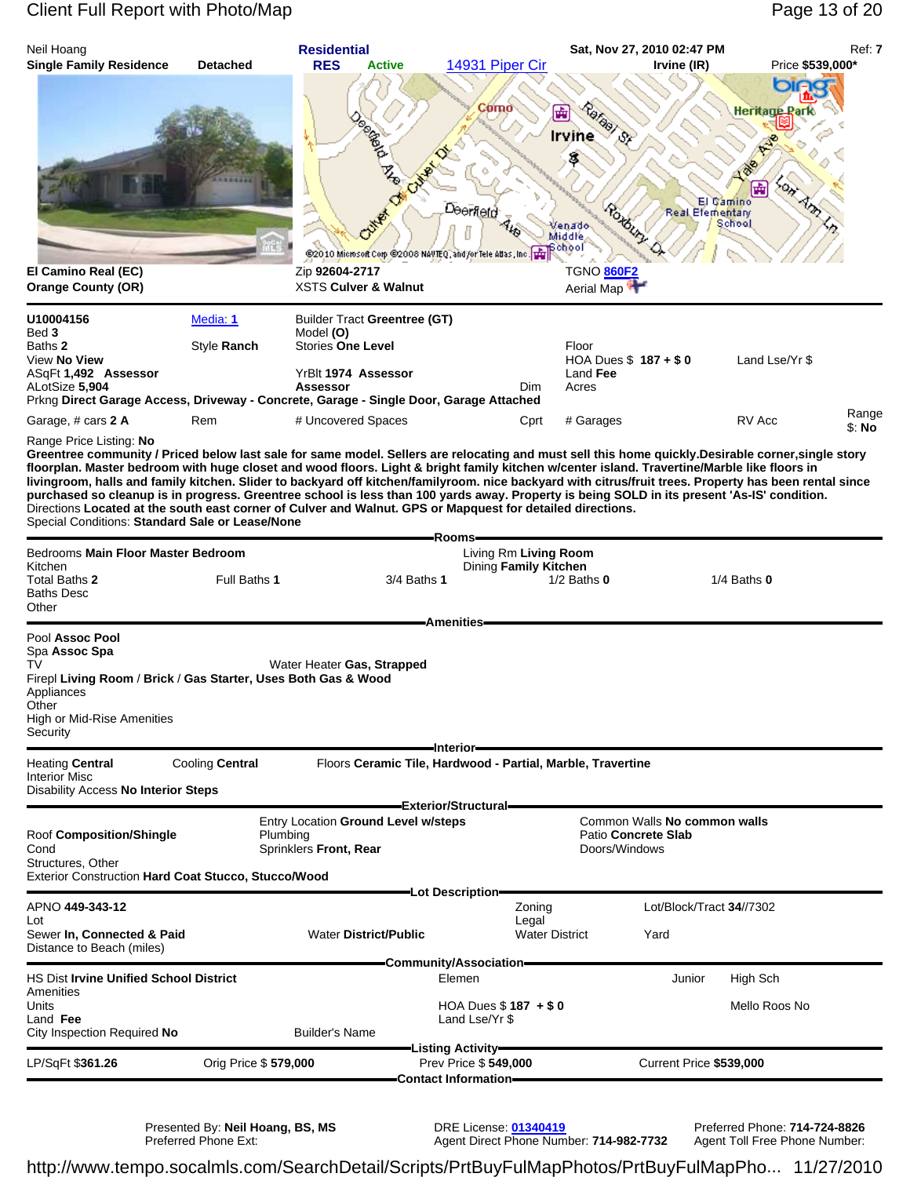### Client Full Report with Photo/Map **Page 13 of 20** Page 13 of 20

| Neil Hoang<br><b>Single Family Residence</b>                                                                                                                                                                                                                                                                                                                                                                                                                                                                                                                                                                                                                                                                                                                                                                                                 | <b>Detached</b>         | <b>Residential</b><br><b>RES</b><br><b>Active</b>                                                                      | 14931 Piper Cir                                                                                   | Sat, Nov 27, 2010 02:47 PM                                                              | Irvine (IR)                         | Price \$539,000*                                 | Ref: 7          |
|----------------------------------------------------------------------------------------------------------------------------------------------------------------------------------------------------------------------------------------------------------------------------------------------------------------------------------------------------------------------------------------------------------------------------------------------------------------------------------------------------------------------------------------------------------------------------------------------------------------------------------------------------------------------------------------------------------------------------------------------------------------------------------------------------------------------------------------------|-------------------------|------------------------------------------------------------------------------------------------------------------------|---------------------------------------------------------------------------------------------------|-----------------------------------------------------------------------------------------|-------------------------------------|--------------------------------------------------|-----------------|
| El Camino Real (EC)                                                                                                                                                                                                                                                                                                                                                                                                                                                                                                                                                                                                                                                                                                                                                                                                                          |                         | @2010 Microsoft Corp @2008 NAVTEQ, and for Tele Atlas, Inc. The<br>Zip 92604-2717                                      | Como<br>Deerfeld                                                                                  | Rafaal St<br>⊞<br><b>Irvine</b><br>S.<br>enado<br>Middle<br>βchool<br><b>TGNO 860F2</b> | El Gamino<br><b>Real Elementary</b> | ога<br><b>Heritage Rar</b><br>圃<br>್ರಾ<br>School |                 |
| <b>Orange County (OR)</b>                                                                                                                                                                                                                                                                                                                                                                                                                                                                                                                                                                                                                                                                                                                                                                                                                    |                         | <b>XSTS Culver &amp; Walnut</b>                                                                                        |                                                                                                   | Aerial Map                                                                              |                                     |                                                  |                 |
| U10004156<br>Bed 3<br>Baths 2<br>View No View<br>ASqFt 1,492 Assessor<br>ALotSize 5,904<br>Prkng Direct Garage Access, Driveway - Concrete, Garage - Single Door, Garage Attached                                                                                                                                                                                                                                                                                                                                                                                                                                                                                                                                                                                                                                                            | Media: 1<br>Style Ranch | <b>Builder Tract Greentree (GT)</b><br>Model (O)<br><b>Stories One Level</b><br>YrBlt 1974 Assessor<br><b>Assessor</b> | Dim                                                                                               | Floor<br>HOA Dues \$187 + \$0<br>Land Fee<br>Acres                                      |                                     | Land Lse/Yr \$                                   |                 |
| Garage, # cars 2 A                                                                                                                                                                                                                                                                                                                                                                                                                                                                                                                                                                                                                                                                                                                                                                                                                           | Rem                     | # Uncovered Spaces                                                                                                     | Cprt                                                                                              | # Garages                                                                               |                                     | RV Acc                                           | Range<br>\$: No |
| Range Price Listing: No<br>Greentree community / Priced below last sale for same model. Sellers are relocating and must sell this home quickly.Desirable corner, single story<br>floorplan. Master bedroom with huge closet and wood floors. Light & bright family kitchen w/center island. Travertine/Marble like floors in<br>livingroom, halls and family kitchen. Slider to backyard off kitchen/familyroom. nice backyard with citrus/fruit trees. Property has been rental since<br>purchased so cleanup is in progress. Greentree school is less than 100 yards away. Property is being SOLD in its present 'As-IS' condition.<br>Directions Located at the south east corner of Culver and Walnut. GPS or Mapquest for detailed directions.<br>Special Conditions: Standard Sale or Lease/None<br>Bedrooms Main Floor Master Bedroom |                         |                                                                                                                        | -Rooms-<br>Living Rm Living Room                                                                  |                                                                                         |                                     |                                                  |                 |
| Kitchen<br>Total Baths 2<br><b>Baths Desc</b><br>Other                                                                                                                                                                                                                                                                                                                                                                                                                                                                                                                                                                                                                                                                                                                                                                                       | Full Baths 1            | 3/4 Baths 1                                                                                                            | Dining Family Kitchen<br><b>Amenities</b>                                                         | $1/2$ Baths $0$                                                                         |                                     | $1/4$ Baths $0$                                  |                 |
| Pool Assoc Pool<br>Spa Assoc Spa<br>TV<br>Firepl Living Room / Brick / Gas Starter, Uses Both Gas & Wood<br>Appliances<br>Other<br>High or Mid-Rise Amenities<br>Security                                                                                                                                                                                                                                                                                                                                                                                                                                                                                                                                                                                                                                                                    |                         | Water Heater Gas, Strapped                                                                                             |                                                                                                   |                                                                                         |                                     |                                                  |                 |
| <b>Heating Central</b><br><b>Interior Misc</b><br>Disability Access No Interior Steps                                                                                                                                                                                                                                                                                                                                                                                                                                                                                                                                                                                                                                                                                                                                                        | Cooling Central         |                                                                                                                        | -Interior-<br>Floors Ceramic Tile, Hardwood - Partial, Marble, Travertine<br>Exterior/Structural= |                                                                                         |                                     |                                                  |                 |
| Roof Composition/Shingle<br>Cond<br>Structures, Other<br><b>Exterior Construction Hard Coat Stucco, Stucco/Wood</b>                                                                                                                                                                                                                                                                                                                                                                                                                                                                                                                                                                                                                                                                                                                          | Plumbing                | Entry Location Ground Level w/steps<br>Sprinklers Front, Rear                                                          |                                                                                                   | Patio Concrete Slab<br>Doors/Windows                                                    | Common Walls No common walls        |                                                  |                 |
| APNO 449-343-12<br>Lot<br>Sewer In, Connected & Paid                                                                                                                                                                                                                                                                                                                                                                                                                                                                                                                                                                                                                                                                                                                                                                                         |                         | <b>Water District/Public</b>                                                                                           | =Lot Description=<br>Zoning<br>Legal<br><b>Water District</b>                                     |                                                                                         | Lot/Block/Tract 34//7302<br>Yard    |                                                  |                 |
| Distance to Beach (miles)                                                                                                                                                                                                                                                                                                                                                                                                                                                                                                                                                                                                                                                                                                                                                                                                                    |                         |                                                                                                                        | Community/Association=                                                                            |                                                                                         |                                     |                                                  |                 |
| <b>HS Dist Irvine Unified School District</b><br>Amenities                                                                                                                                                                                                                                                                                                                                                                                                                                                                                                                                                                                                                                                                                                                                                                                   |                         |                                                                                                                        | Elemen                                                                                            |                                                                                         | Junior                              | High Sch                                         |                 |
| Units<br>Land Fee<br>City Inspection Required No                                                                                                                                                                                                                                                                                                                                                                                                                                                                                                                                                                                                                                                                                                                                                                                             |                         | <b>Builder's Name</b>                                                                                                  | HOA Dues $$187 + $0$<br>Land Lse/Yr \$                                                            |                                                                                         |                                     | Mello Roos No                                    |                 |
| LP/SqFt \$361.26                                                                                                                                                                                                                                                                                                                                                                                                                                                                                                                                                                                                                                                                                                                                                                                                                             | Orig Price \$579,000    |                                                                                                                        | -Listing Activity-<br>Prev Price \$549,000                                                        |                                                                                         | Current Price \$539,000             |                                                  |                 |
|                                                                                                                                                                                                                                                                                                                                                                                                                                                                                                                                                                                                                                                                                                                                                                                                                                              |                         |                                                                                                                        | <b>Contact Information-</b>                                                                       |                                                                                         |                                     |                                                  |                 |

Presented By: **Neil Hoang, BS, MS** DRE License: **01340419** Preferred Phone: **714-724-8826**

Preferred Phone Ext: Agent Direct Phone Number: **714-982-7732** Agent Toll Free Phone Number: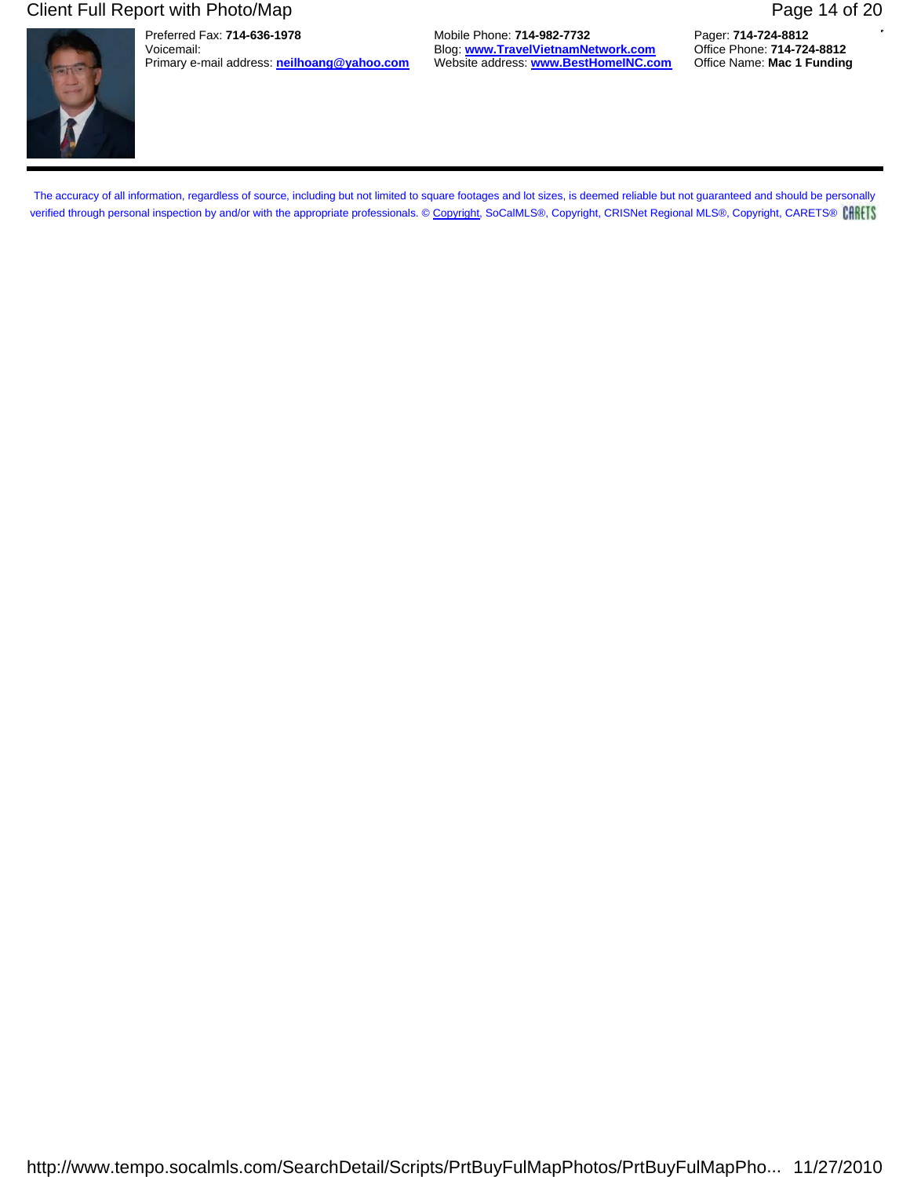### Client Full Report with Photo/Map **Page 14 of 20** Page 14 of 20

Preferred Fax: **714-636-1978** Mobile Phone: **714-982-7732** Pager: **714-724-8812** Blog: **www.TravelVietnamNetwork.com**<br>Website address: **www.BestHomeINC.com** Primary e-mail address: **neilhoang@yahoo.com** Website address: **www.BestHomeINC.com** Office Name: **Mac 1 Funding**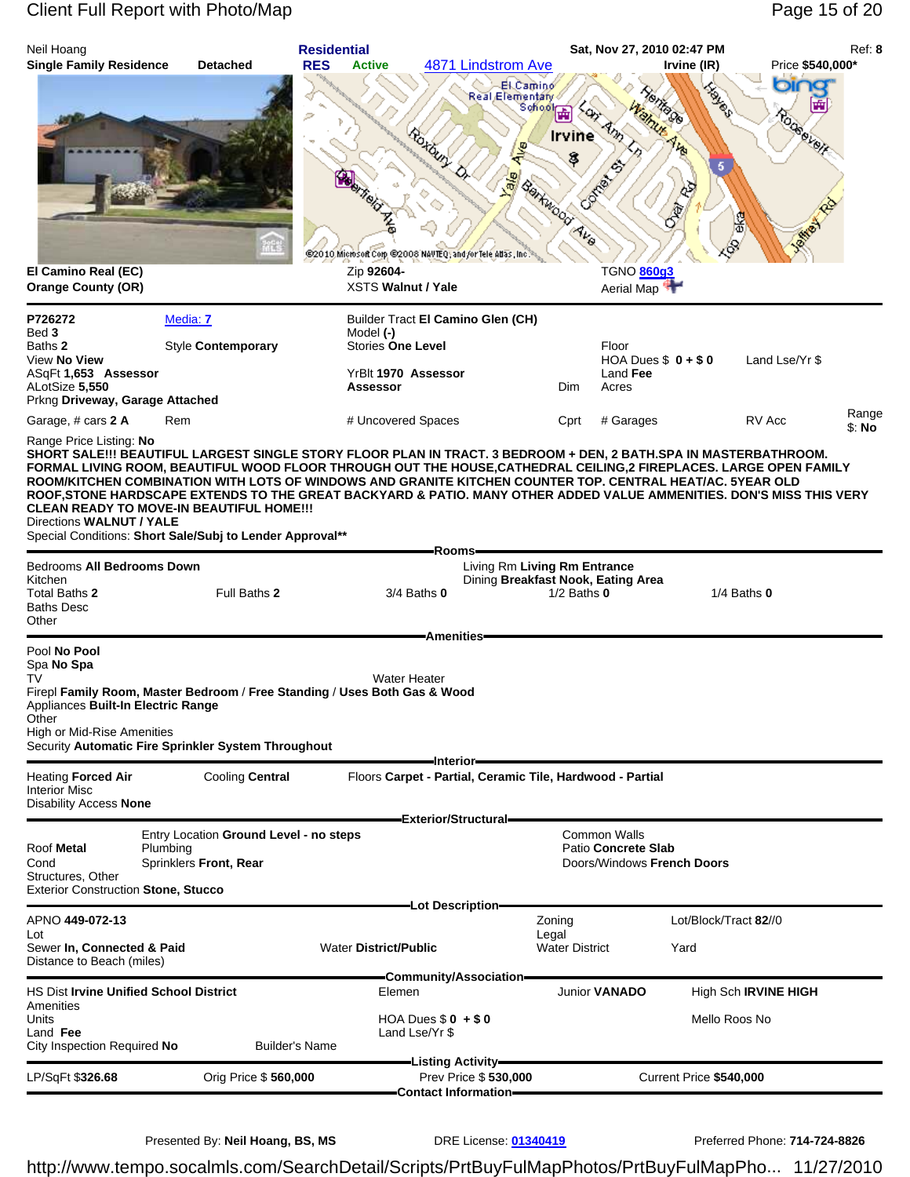# Client Full Report with Photo/Map **Page 15 of 20** Page 15 of 20

| Neil Hoang                                                                                                                                                                                                 |                                                                                                                                                                                                                                                                                                                                                                                                                                                                                                                                                                                                           | <b>Residential</b>                                |                                                                                                                         |                                                                                       | Sat, Nov 27, 2010 02:47 PM                                                                            |                                                | Ref: 8          |
|------------------------------------------------------------------------------------------------------------------------------------------------------------------------------------------------------------|-----------------------------------------------------------------------------------------------------------------------------------------------------------------------------------------------------------------------------------------------------------------------------------------------------------------------------------------------------------------------------------------------------------------------------------------------------------------------------------------------------------------------------------------------------------------------------------------------------------|---------------------------------------------------|-------------------------------------------------------------------------------------------------------------------------|---------------------------------------------------------------------------------------|-------------------------------------------------------------------------------------------------------|------------------------------------------------|-----------------|
| <b>Single Family Residence</b><br>El Camino Real (EC)                                                                                                                                                      | <b>Detached</b>                                                                                                                                                                                                                                                                                                                                                                                                                                                                                                                                                                                           | <b>RES</b><br><b>Active</b><br>Zip 92604-         | 4871 Lindstrom Ave<br>Real Elementary<br>Rotain<br>Alva<br>@2010 Microsoft Corp. @2008 NAVTEQ; and /or Tele Atlas, Inc. | San<br>Am<br>Irvine<br>8<br>San Rankwood Ave                                          | Irvine (IR)<br><b>Light</b><br><b>Yentrage</b><br>Walnut<br>ALA<br>$\phi_2$<br>E<br>TGNO <b>860g3</b> | Price \$540,000*<br>Oir<br>ROGSBYBIF<br>圈<br>Þ |                 |
| <b>Orange County (OR)</b>                                                                                                                                                                                  |                                                                                                                                                                                                                                                                                                                                                                                                                                                                                                                                                                                                           | <b>XSTS Walnut / Yale</b>                         |                                                                                                                         |                                                                                       | Aerial Map                                                                                            |                                                |                 |
| P726272<br>Bed 3<br>Baths 2<br>View No View<br>ASqFt 1,653 Assessor<br>ALotSize 5,550<br>Prkng Driveway, Garage Attached                                                                                   | Media: 7<br>Style Contemporary                                                                                                                                                                                                                                                                                                                                                                                                                                                                                                                                                                            | Model (-)<br><b>Stories One Level</b><br>Assessor | Builder Tract El Camino Glen (CH)<br>YrBlt 1970 Assessor                                                                | Floor<br>Dim<br>Acres                                                                 | HOA Dues $$0 + $0$<br>Land Fee                                                                        | Land Lse/Yr \$                                 |                 |
| Garage, # cars 2 A                                                                                                                                                                                         | Rem                                                                                                                                                                                                                                                                                                                                                                                                                                                                                                                                                                                                       | # Uncovered Spaces                                |                                                                                                                         | Cprt                                                                                  | # Garages                                                                                             | RV Acc                                         | Range<br>\$: No |
| Directions WALNUT / YALE<br>Bedrooms All Bedrooms Down<br>Kitchen<br>Total Baths 2<br><b>Baths Desc</b>                                                                                                    | SHORT SALE!!! BEAUTIFUL LARGEST SINGLE STORY FLOOR PLAN IN TRACT. 3 BEDROOM + DEN, 2 BATH.SPA IN MASTERBATHROOM.<br>FORMAL LIVING ROOM, BEAUTIFUL WOOD FLOOR THROUGH OUT THE HOUSE, CATHEDRAL CEILING, 2 FIREPLACES. LARGE OPEN FAMILY<br>ROOM/KITCHEN COMBINATION WITH LOTS OF WINDOWS AND GRANITE KITCHEN COUNTER TOP. CENTRAL HEAT/AC. 5YEAR OLD<br>ROOF,STONE HARDSCAPE EXTENDS TO THE GREAT BACKYARD & PATIO. MANY OTHER ADDED VALUE AMMENITIES. DON'S MISS THIS VERY<br><b>CLEAN READY TO MOVE-IN BEAUTIFUL HOME!!!</b><br>Special Conditions: Short Sale/Subj to Lender Approval**<br>Full Baths 2 |                                                   | -Rooms-<br>$3/4$ Baths $0$                                                                                              | Living Rm Living Rm Entrance<br>Dining Breakfast Nook, Eating Area<br>$1/2$ Baths $0$ |                                                                                                       | $1/4$ Baths $0$                                |                 |
| Other                                                                                                                                                                                                      |                                                                                                                                                                                                                                                                                                                                                                                                                                                                                                                                                                                                           |                                                   | <b>Amenities</b>                                                                                                        |                                                                                       |                                                                                                       |                                                |                 |
| Pool No Pool<br>Spa No Spa<br>TV<br>Appliances Built-In Electric Range<br>Other<br><b>High or Mid-Rise Amenities</b><br><b>Heating Forced Air</b><br><b>Interior Misc</b><br><b>Disability Access None</b> | Firepl Family Room, Master Bedroom / Free Standing / Uses Both Gas & Wood<br>Security Automatic Fire Sprinkler System Throughout<br>Cooling Central                                                                                                                                                                                                                                                                                                                                                                                                                                                       |                                                   | <b>Water Heater</b><br>-Interior-<br>Floors Carpet - Partial, Ceramic Tile, Hardwood - Partial                          |                                                                                       |                                                                                                       |                                                |                 |
|                                                                                                                                                                                                            | Entry Location Ground Level - no steps                                                                                                                                                                                                                                                                                                                                                                                                                                                                                                                                                                    |                                                   | Exterior/Structural-                                                                                                    | <b>Common Walls</b>                                                                   |                                                                                                       |                                                |                 |
| Roof Metal<br>Cond<br>Structures, Other<br><b>Exterior Construction Stone, Stucco</b>                                                                                                                      | Plumbing<br>Sprinklers Front, Rear                                                                                                                                                                                                                                                                                                                                                                                                                                                                                                                                                                        |                                                   |                                                                                                                         | Patio Concrete Slab                                                                   | Doors/Windows French Doors                                                                            |                                                |                 |
| APNO 449-072-13                                                                                                                                                                                            |                                                                                                                                                                                                                                                                                                                                                                                                                                                                                                                                                                                                           |                                                   | -Lot Description-                                                                                                       | Zoning                                                                                | Lot/Block/Tract 82//0                                                                                 |                                                |                 |
| Lot<br>Sewer In, Connected & Paid<br>Distance to Beach (miles)                                                                                                                                             |                                                                                                                                                                                                                                                                                                                                                                                                                                                                                                                                                                                                           | <b>Water District/Public</b>                      |                                                                                                                         | Legal<br><b>Water District</b>                                                        | Yard                                                                                                  |                                                |                 |
| <b>HS Dist Irvine Unified School District</b>                                                                                                                                                              |                                                                                                                                                                                                                                                                                                                                                                                                                                                                                                                                                                                                           | Elemen                                            | =Community/Association=                                                                                                 | <b>Junior VANADO</b>                                                                  |                                                                                                       | High Sch <b>IRVINE HIGH</b>                    |                 |
| Amenities<br>Units<br>Land Fee<br>City Inspection Required No                                                                                                                                              |                                                                                                                                                                                                                                                                                                                                                                                                                                                                                                                                                                                                           | Builder's Name                                    | HOA Dues $$0 + $0$<br>Land Lse/Yr \$                                                                                    |                                                                                       | Mello Roos No                                                                                         |                                                |                 |
| LP/SqFt \$326.68                                                                                                                                                                                           | Orig Price \$560,000                                                                                                                                                                                                                                                                                                                                                                                                                                                                                                                                                                                      |                                                   | -Listing Activity-<br>Prev Price \$530,000                                                                              |                                                                                       | Current Price \$540,000                                                                               |                                                |                 |
|                                                                                                                                                                                                            |                                                                                                                                                                                                                                                                                                                                                                                                                                                                                                                                                                                                           |                                                   | Contact Information-                                                                                                    |                                                                                       |                                                                                                       |                                                |                 |

Presented By: Neil Hoang, BS, MS DRE License: 01340419 Preferred Phone: 714-724-8826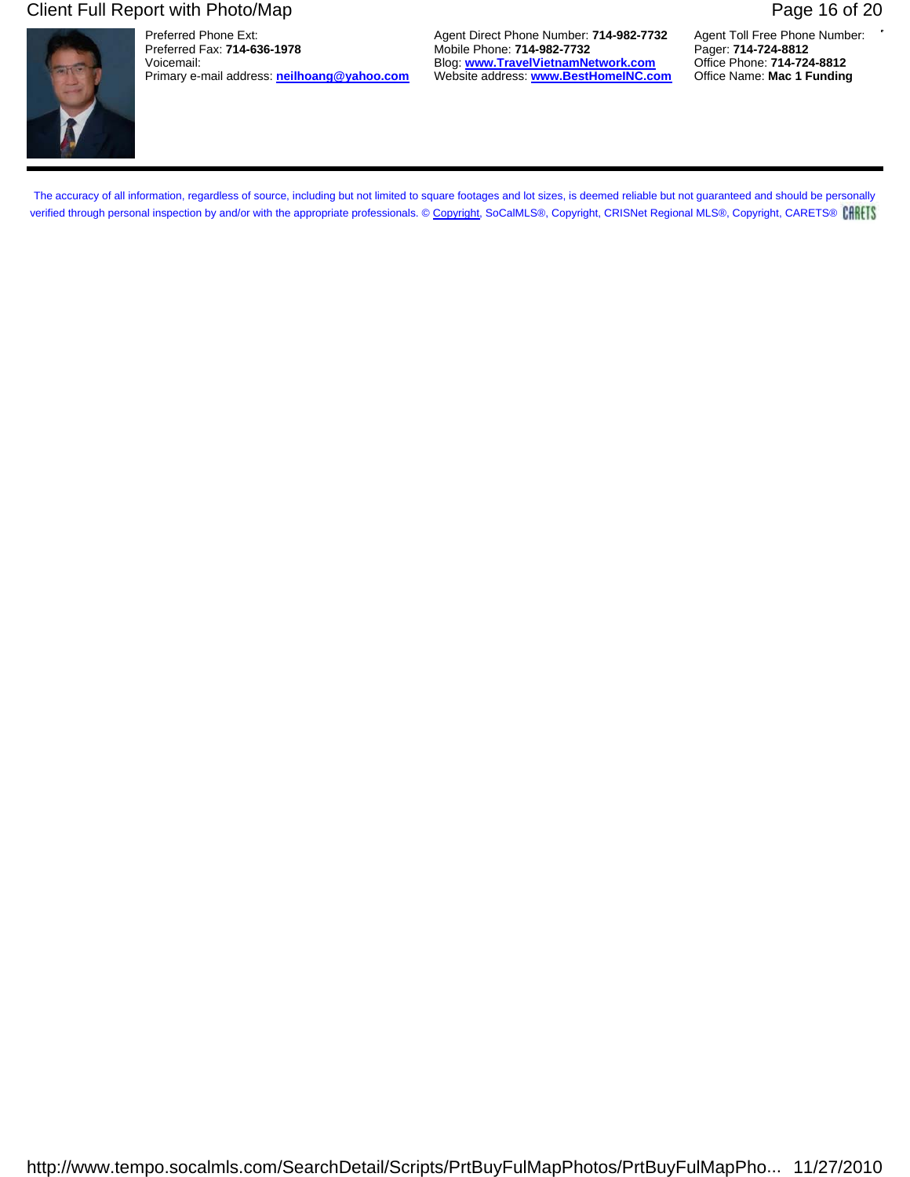### Client Full Report with Photo/Map **Page 16 of 20** Page 16 of 20



Primary e-mail address: **neilhoang@yahoo.com** 

Preferred Phone Ext: **Agent Direct Phone Number: 714-982-7732** Agent Toll Free Phone Number: **Preferred Fax: 714-636-1978** Agent Mobile Phone: **714-982-7732** Pager: **714-724-8812** Preferred Fax: **714-636-1978** Mobile Phone: **714-982-7732** Pager: **714-724-8812** Voicemail: Blog: **www.TravelVietnamNetwork.com** Office Phone: **714-724-8812**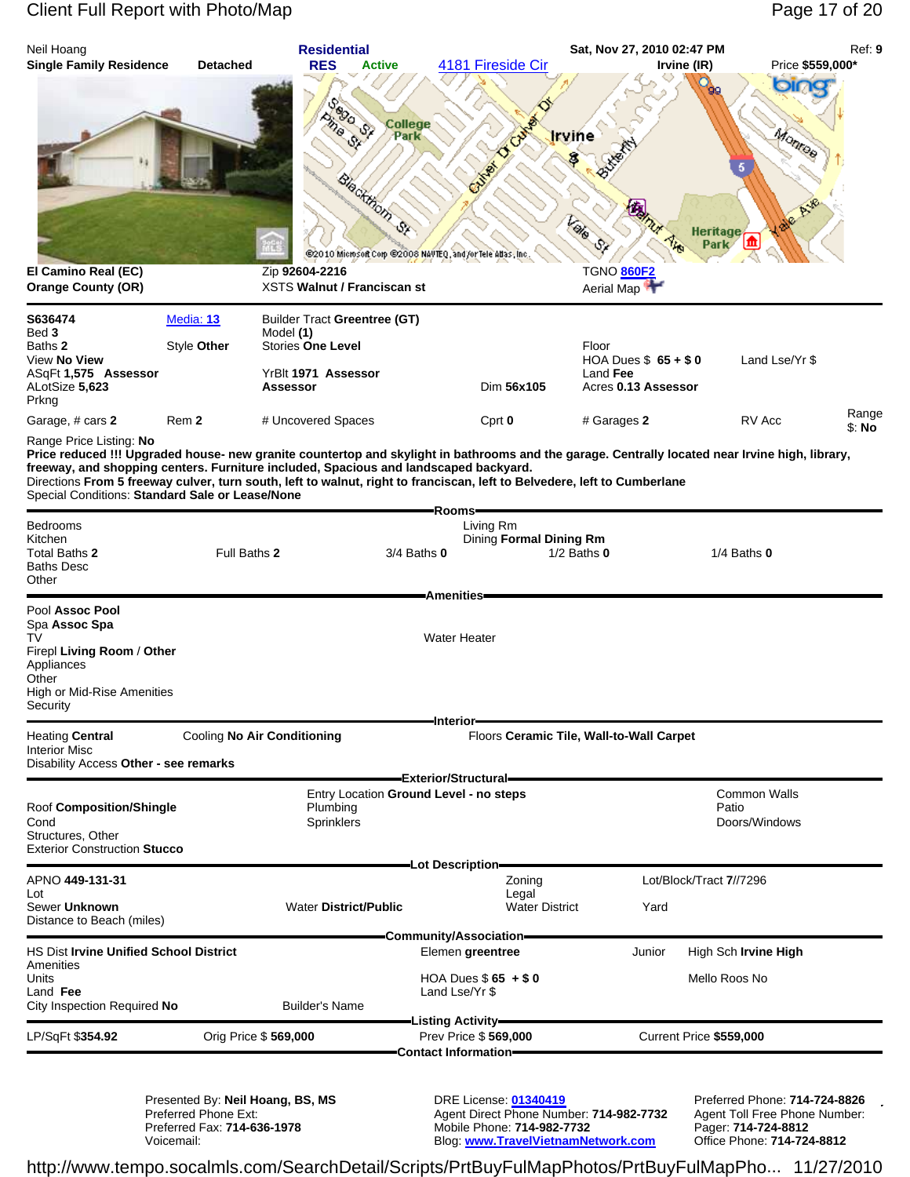### Client Full Report with Photo/Map Page 17 of 20



http://www.tempo.socalmls.com/SearchDetail/Scripts/PrtBuyFulMapPhotos/PrtBuyFulMapPho... 11/27/2010

Voicemail: Blog: **www.TravelVietnamNetwork.com** Office Phone: **714-724-8812**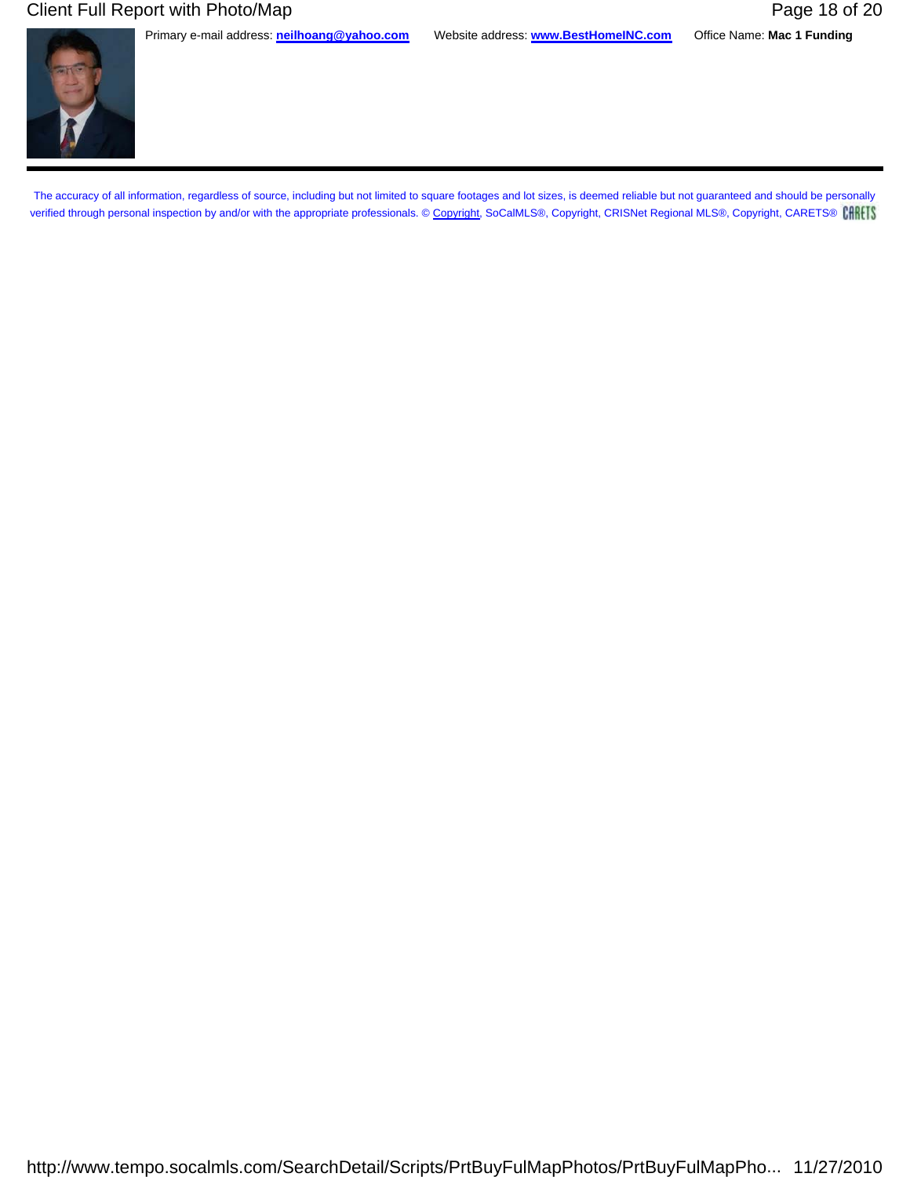### Client Full Report with Photo/Map **Page 18 of 20** Page 18 of 20

Primary e-mail address: **neilhoang@yahoo.com** Website address: **www.BestHomeINC.com** Office Name: **Mac 1 Funding**

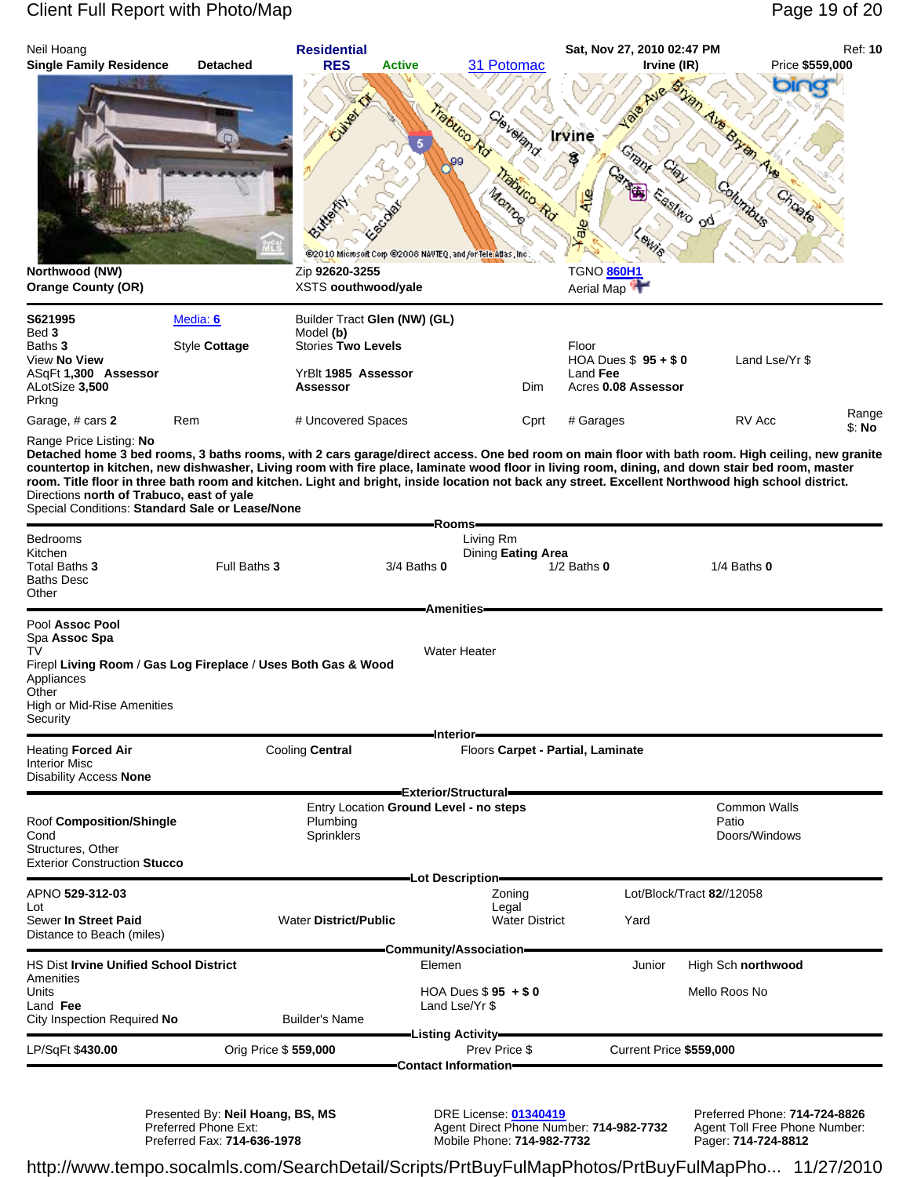## Client Full Report with Photo/Map **Page 19 of 20** Page 19 of 20

| Neil Hoang<br><b>Single Family Residence</b>                                                                                                                              | <b>Detached</b>      | <b>Residential</b><br><b>RES</b>                                                 | <b>Active</b><br>31 Potomac                                                                                                                                                                                                    | Sat, Nov 27, 2010 02:47 PM<br>Irvine (IR)                       | Price \$559,000                                    | Ref: 10         |
|---------------------------------------------------------------------------------------------------------------------------------------------------------------------------|----------------------|----------------------------------------------------------------------------------|--------------------------------------------------------------------------------------------------------------------------------------------------------------------------------------------------------------------------------|-----------------------------------------------------------------|----------------------------------------------------|-----------------|
| Northwood (NW)<br><b>Orange County (OR)</b>                                                                                                                               |                      | Zip 92620-3255<br>XSTS oouthwood/yale                                            | Cieveland.<br>rabuco Rd<br>Trabuco Rd<br><b>Morro</b> s<br>@2010 Microsoft Corp @2008 NAVTEQ, and /or Tele Atlas, Inc.                                                                                                         | Irvine<br>Grant<br>惶<br>ale<br>TGNO 860H1<br>Aerial Map         | Ave Brytin<br>columbus<br><b>Lastico</b> od<br>426 |                 |
| S621995                                                                                                                                                                   | Media: 6             | Builder Tract Glen (NW) (GL)                                                     |                                                                                                                                                                                                                                |                                                                 |                                                    |                 |
| Bed 3<br>Baths 3<br>View No View<br>ASqFt 1,300 Assessor<br>ALotSize 3,500<br>Prkng                                                                                       | Style Cottage        | Model (b)<br><b>Stories Two Levels</b><br>YrBlt 1985 Assessor<br><b>Assessor</b> | Dim                                                                                                                                                                                                                            | Floor<br>HOA Dues $$95 + $0$<br>Land Fee<br>Acres 0.08 Assessor | Land Lse/Yr \$                                     |                 |
| Garage, # cars 2                                                                                                                                                          | Rem                  | # Uncovered Spaces                                                               | Cprt                                                                                                                                                                                                                           | # Garages                                                       | RV Acc                                             | Range<br>\$: No |
| Directions north of Trabuco, east of yale<br>Special Conditions: Standard Sale or Lease/None<br><b>Bedrooms</b><br>Kitchen<br>Total Baths 3<br><b>Baths Desc</b><br>Other | Full Baths 3         |                                                                                  | room. Title floor in three bath room and kitchen. Light and bright, inside location not back any street. Excellent Northwood high school district.<br>Rooms <del>-</del><br>Living Rm<br>Dining Eating Area<br>$3/4$ Baths $0$ | $1/2$ Baths $0$                                                 | $1/4$ Baths $0$                                    |                 |
| Pool Assoc Pool<br>Spa Assoc Spa<br>TV<br>Firepl Living Room / Gas Log Fireplace / Uses Both Gas & Wood<br>Appliances<br>Other<br>High or Mid-Rise Amenities<br>Security  |                      |                                                                                  | <b>Amenities-</b><br><b>Water Heater</b>                                                                                                                                                                                       |                                                                 |                                                    |                 |
| <b>Heating Forced Air</b><br>Interior Misc<br><b>Disability Access None</b>                                                                                               |                      | Cooling Central                                                                  | ∙Interior <del>–</del>                                                                                                                                                                                                         | Floors Carpet - Partial, Laminate                               |                                                    |                 |
| Roof Composition/Shingle<br>Cond<br>Structures, Other<br><b>Exterior Construction Stucco</b>                                                                              |                      | Plumbina<br>Sprinklers                                                           | Exterior/Structural=<br>Entry Location Ground Level - no steps                                                                                                                                                                 |                                                                 | <b>Common Walls</b><br>Patio<br>Doors/Windows      |                 |
| APNO 529-312-03<br>Lot<br>Sewer In Street Paid<br>Distance to Beach (miles)                                                                                               |                      | <b>Water District/Public</b>                                                     | Lot Description-<br>Zoning<br>Legal<br><b>Water District</b>                                                                                                                                                                   | Yard                                                            | Lot/Block/Tract 82//12058                          |                 |
| <b>HS Dist Irvine Unified School District</b>                                                                                                                             |                      |                                                                                  | Community/Association=<br>Elemen                                                                                                                                                                                               | Junior                                                          | High Sch northwood                                 |                 |
| Amenities<br>Units<br>Land Fee<br>City Inspection Required No                                                                                                             |                      | <b>Builder's Name</b>                                                            | HOA Dues $$95 + $0$<br>Land Lse/Yr \$                                                                                                                                                                                          |                                                                 | Mello Roos No                                      |                 |
| LP/SqFt \$430.00                                                                                                                                                          | Orig Price \$559,000 |                                                                                  | -Listing Activity-<br>Prev Price \$                                                                                                                                                                                            | Current Price \$559,000                                         |                                                    |                 |
|                                                                                                                                                                           |                      |                                                                                  | Contact Information-                                                                                                                                                                                                           |                                                                 |                                                    |                 |

Presented By: **Neil Hoang, BS, MS** DRE License: **01340419** Preferred Phone: **714-724-8826** Preferred Phone Ext: Agent Direct Phone Number: **714-982-7732** Agent Toll Free Phone Number: Preferred Fax: **714-636-1978** Mobile Phone: **714-982-7732** Pager: **714-724-8812**